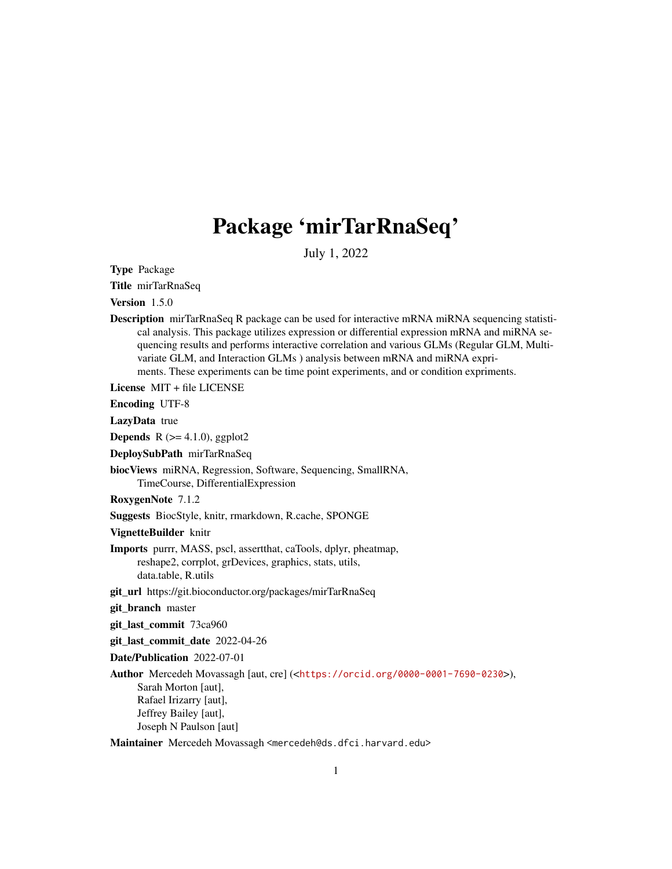# Package 'mirTarRnaSeq'

July 1, 2022

Type Package

Title mirTarRnaSeq

Version 1.5.0

Description mirTarRnaSeq R package can be used for interactive mRNA miRNA sequencing statistical analysis. This package utilizes expression or differential expression mRNA and miRNA sequencing results and performs interactive correlation and various GLMs (Regular GLM, Multivariate GLM, and Interaction GLMs ) analysis between mRNA and miRNA expriments. These experiments can be time point experiments, and or condition expriments.

License MIT + file LICENSE

Encoding UTF-8

LazyData true

**Depends** R  $(>= 4.1.0)$ , ggplot2

DeploySubPath mirTarRnaSeq

biocViews miRNA, Regression, Software, Sequencing, SmallRNA, TimeCourse, DifferentialExpression

RoxygenNote 7.1.2

Suggests BiocStyle, knitr, rmarkdown, R.cache, SPONGE

VignetteBuilder knitr

Imports purrr, MASS, pscl, assertthat, caTools, dplyr, pheatmap, reshape2, corrplot, grDevices, graphics, stats, utils, data.table, R.utils

git\_url https://git.bioconductor.org/packages/mirTarRnaSeq

git\_branch master

git\_last\_commit 73ca960

git last commit date 2022-04-26

Date/Publication 2022-07-01

Author Mercedeh Movassagh [aut, cre] (<<https://orcid.org/0000-0001-7690-0230>>), Sarah Morton [aut], Rafael Irizarry [aut], Jeffrey Bailey [aut], Joseph N Paulson [aut]

Maintainer Mercedeh Movassagh <mercedeh@ds.dfci.harvard.edu>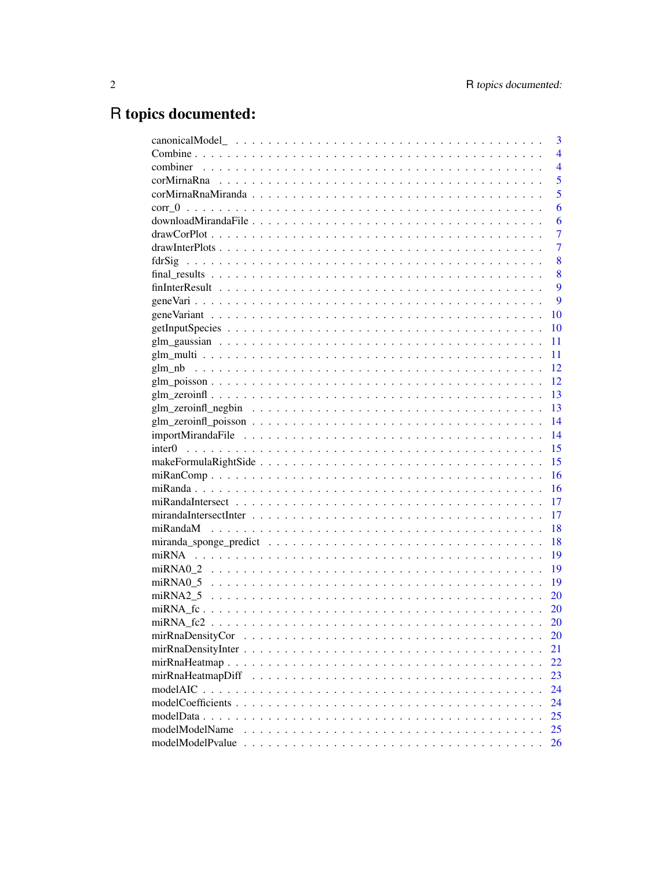# R topics documented:

|                  | 3              |
|------------------|----------------|
|                  | $\overline{4}$ |
| combiner         | $\overline{4}$ |
|                  | 5              |
|                  | 5              |
|                  | 6              |
|                  | 6              |
|                  | $\overline{7}$ |
|                  | $\overline{7}$ |
|                  | 8              |
|                  | 8              |
|                  | 9              |
|                  | 9              |
|                  | 10             |
|                  | 10             |
|                  | 11             |
|                  | 11             |
|                  | 12             |
|                  | 12             |
|                  | 13             |
|                  | 13             |
|                  | 14             |
|                  | 14             |
|                  | 15             |
|                  | 15             |
|                  | 16             |
|                  | 16             |
|                  | 17             |
|                  | 17             |
|                  | 18             |
|                  | 18             |
|                  | 19             |
|                  | 19             |
|                  | 19             |
| miRNA2 5         | 20             |
|                  | <b>20</b>      |
|                  | 20             |
| mirRnaDensityCor | 20             |
|                  | 21             |
|                  | 22             |
|                  | 23             |
|                  | 24             |
|                  | 24             |
|                  | 25             |
| modelModelName   | 25             |
| modelModelPvalue | 26             |
|                  |                |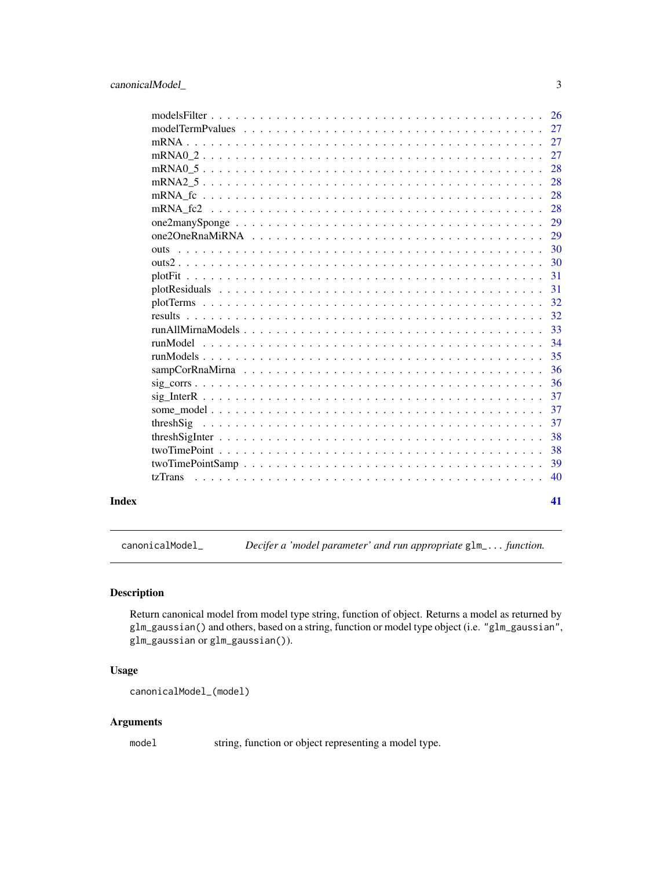<span id="page-2-0"></span>

|       |                                                                                                                                     | <b>26</b> |
|-------|-------------------------------------------------------------------------------------------------------------------------------------|-----------|
|       |                                                                                                                                     | 27        |
|       |                                                                                                                                     | 27        |
|       |                                                                                                                                     | 27        |
|       |                                                                                                                                     | 28        |
|       |                                                                                                                                     | 28        |
|       |                                                                                                                                     | 28        |
|       |                                                                                                                                     | 28        |
|       |                                                                                                                                     | 29        |
|       |                                                                                                                                     | 29        |
|       | <u>. A provincia de la caractería de la caractería de la caractería de la caractería de la caractería de la cara</u><br><b>OUTS</b> | 30        |
|       |                                                                                                                                     | 30        |
|       |                                                                                                                                     | 31        |
|       |                                                                                                                                     | 31        |
|       |                                                                                                                                     | 32        |
|       |                                                                                                                                     | 32        |
|       |                                                                                                                                     | 33        |
|       |                                                                                                                                     | 34        |
|       |                                                                                                                                     | 35        |
|       |                                                                                                                                     | 36        |
|       |                                                                                                                                     | 36        |
|       |                                                                                                                                     | 37        |
|       |                                                                                                                                     | 37        |
|       | threshSig                                                                                                                           | 37        |
|       |                                                                                                                                     | 38        |
|       |                                                                                                                                     | 38        |
|       |                                                                                                                                     | 39        |
|       | tzTrans                                                                                                                             | 40        |
| Index |                                                                                                                                     | 41        |

canonicalModel\_ *Decifer a 'model parameter' and run appropriate* glm\_... *function.*

# Description

Return canonical model from model type string, function of object. Returns a model as returned by glm\_gaussian() and others, based on a string, function or model type object (i.e. "glm\_gaussian", glm\_gaussian or glm\_gaussian()).

# Usage

```
canonicalModel_(model)
```
# Arguments

model string, function or object representing a model type.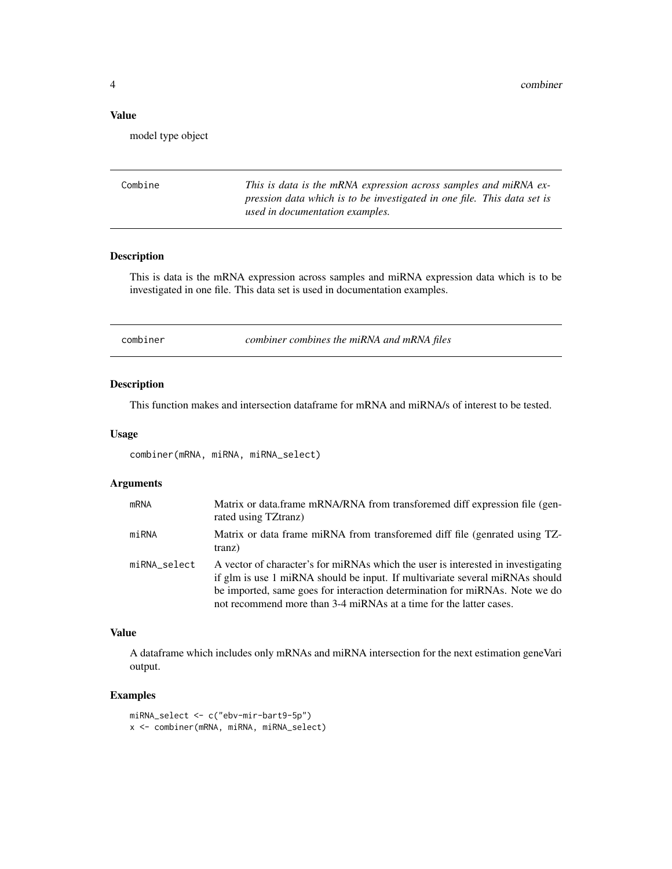#### <span id="page-3-0"></span>Value

model type object

| Combine | This is data is the mRNA expression across samples and miRNA ex-        |
|---------|-------------------------------------------------------------------------|
|         | pression data which is to be investigated in one file. This data set is |
|         | used in documentation examples.                                         |

# Description

This is data is the mRNA expression across samples and miRNA expression data which is to be investigated in one file. This data set is used in documentation examples.

combiner *combiner combines the miRNA and mRNA files*

# Description

This function makes and intersection dataframe for mRNA and miRNA/s of interest to be tested.

#### Usage

combiner(mRNA, miRNA, miRNA\_select)

#### Arguments

| mRNA         | Matrix or data.frame mRNA/RNA from transforemed diff expression file (gen-<br>rated using TZtranz)                                                                                                                                                                                                                    |
|--------------|-----------------------------------------------------------------------------------------------------------------------------------------------------------------------------------------------------------------------------------------------------------------------------------------------------------------------|
| miRNA        | Matrix or data frame miRNA from transforemed diff file (genrated using TZ-<br>tranz)                                                                                                                                                                                                                                  |
| miRNA_select | A vector of character's for miRNAs which the user is interested in investigating<br>if glm is use 1 miRNA should be input. If multivariate several miRNAs should<br>be imported, same goes for interaction determination for miRNAs. Note we do<br>not recommend more than 3-4 miRNAs at a time for the latter cases. |

#### Value

A dataframe which includes only mRNAs and miRNA intersection for the next estimation geneVari output.

#### Examples

miRNA\_select <- c("ebv-mir-bart9-5p") x <- combiner(mRNA, miRNA, miRNA\_select)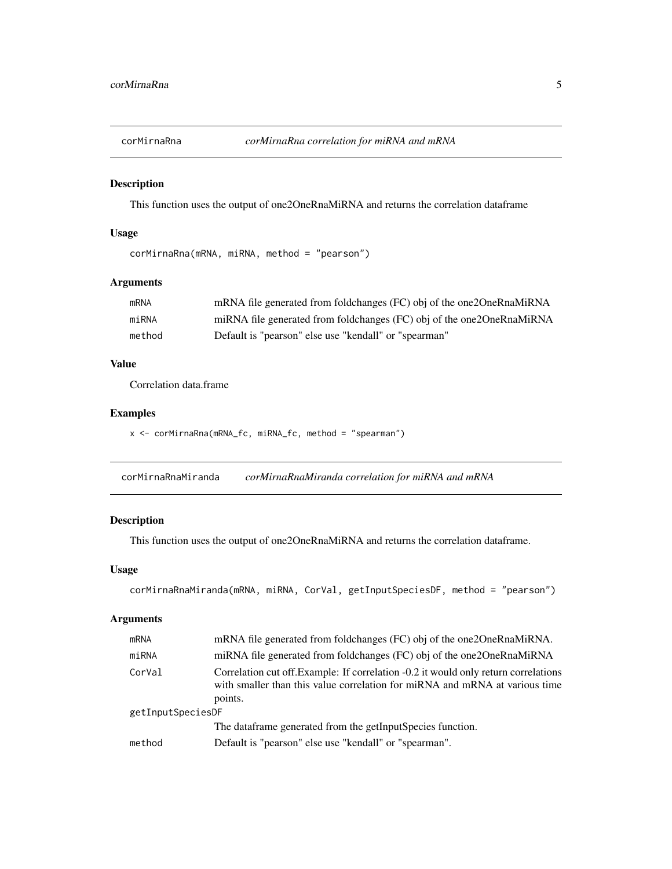<span id="page-4-0"></span>

This function uses the output of one2OneRnaMiRNA and returns the correlation dataframe

#### Usage

corMirnaRna(mRNA, miRNA, method = "pearson")

# Arguments

| mRNA   | mRNA file generated from foldchanges (FC) obj of the one 20 neRnaMiRNA  |
|--------|-------------------------------------------------------------------------|
| miRNA  | miRNA file generated from foldchanges (FC) obj of the one 20 neRnaMiRNA |
| method | Default is "pearson" else use "kendall" or "spearman"                   |

#### Value

Correlation data.frame

#### Examples

```
x <- corMirnaRna(mRNA_fc, miRNA_fc, method = "spearman")
```
corMirnaRnaMiranda *corMirnaRnaMiranda correlation for miRNA and mRNA*

# Description

This function uses the output of one2OneRnaMiRNA and returns the correlation dataframe.

#### Usage

```
corMirnaRnaMiranda(mRNA, miRNA, CorVal, getInputSpeciesDF, method = "pearson")
```
#### Arguments

| mRNA              | mRNA file generated from foldchanges (FC) obj of the one 20 neRnaMiRNA.                                                                                                       |  |
|-------------------|-------------------------------------------------------------------------------------------------------------------------------------------------------------------------------|--|
| miRNA             | miRNA file generated from foldchanges (FC) obj of the one2OneRnaMiRNA                                                                                                         |  |
| CorVal            | Correlation cut off. Example: If correlation -0.2 it would only return correlations<br>with smaller than this value correlation for miRNA and mRNA at various time<br>points. |  |
| getInputSpeciesDF |                                                                                                                                                                               |  |
|                   | The dataframe generated from the getInputSpecies function.                                                                                                                    |  |
| method            | Default is "pearson" else use "kendall" or "spearman".                                                                                                                        |  |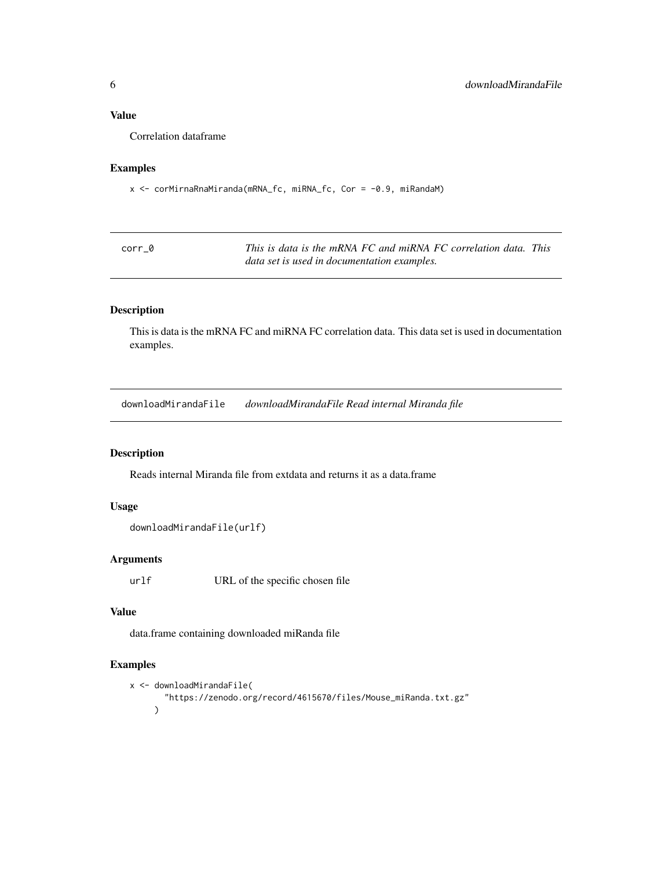# <span id="page-5-0"></span>Value

Correlation dataframe

# Examples

x <- corMirnaRnaMiranda(mRNA\_fc, miRNA\_fc, Cor = -0.9, miRandaM)

| corr 0 | This is data is the mRNA FC and miRNA FC correlation data. This |
|--------|-----------------------------------------------------------------|
|        | data set is used in documentation examples.                     |

#### Description

This is data is the mRNA FC and miRNA FC correlation data. This data set is used in documentation examples.

downloadMirandaFile *downloadMirandaFile Read internal Miranda file*

# Description

Reads internal Miranda file from extdata and returns it as a data.frame

# Usage

```
downloadMirandaFile(urlf)
```
# Arguments

urlf URL of the specific chosen file

#### Value

data.frame containing downloaded miRanda file

#### Examples

```
x <- downloadMirandaFile(
       "https://zenodo.org/record/4615670/files/Mouse_miRanda.txt.gz"
     \mathcal{L}
```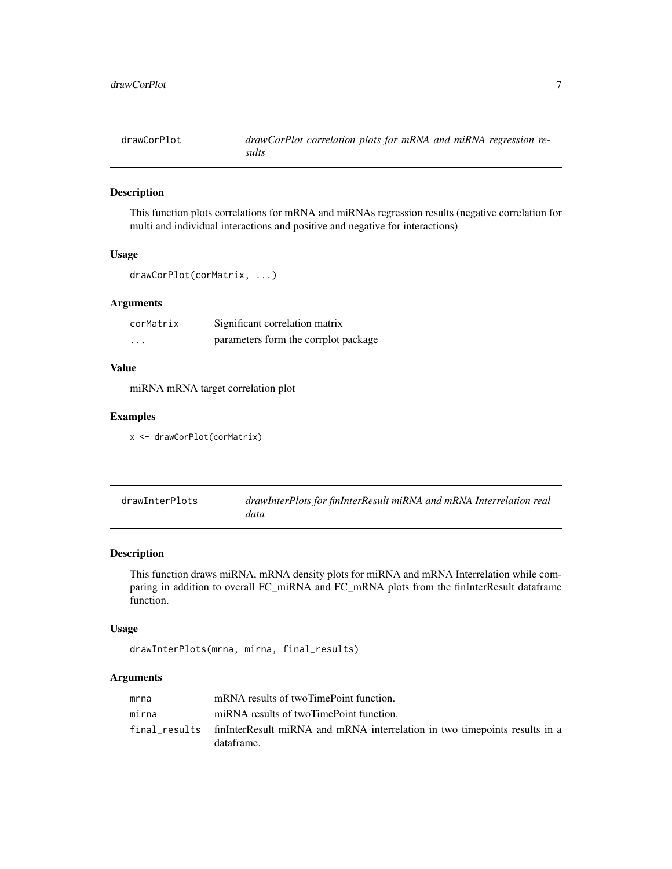<span id="page-6-0"></span>drawCorPlot *drawCorPlot correlation plots for mRNA and miRNA regression results*

# Description

This function plots correlations for mRNA and miRNAs regression results (negative correlation for multi and individual interactions and positive and negative for interactions)

# Usage

```
drawCorPlot(corMatrix, ...)
```
#### Arguments

| corMatrix | Significant correlation matrix       |
|-----------|--------------------------------------|
| .         | parameters form the corrplot package |

# Value

miRNA mRNA target correlation plot

#### Examples

```
x <- drawCorPlot(corMatrix)
```

| drawInterPlots | drawInterPlots for finInterResult miRNA and mRNA Interrelation real |
|----------------|---------------------------------------------------------------------|
|                | data                                                                |

#### Description

This function draws miRNA, mRNA density plots for miRNA and mRNA Interrelation while comparing in addition to overall FC\_miRNA and FC\_mRNA plots from the finInterResult dataframe function.

#### Usage

```
drawInterPlots(mrna, mirna, final_results)
```
# Arguments

| mrna  | mRNA results of twoTimePoint function.                                                                 |
|-------|--------------------------------------------------------------------------------------------------------|
| mirna | miRNA results of twoTimePoint function.                                                                |
|       | final_results finInterResult miRNA and mRNA interrelation in two timepoints results in a<br>dataframe. |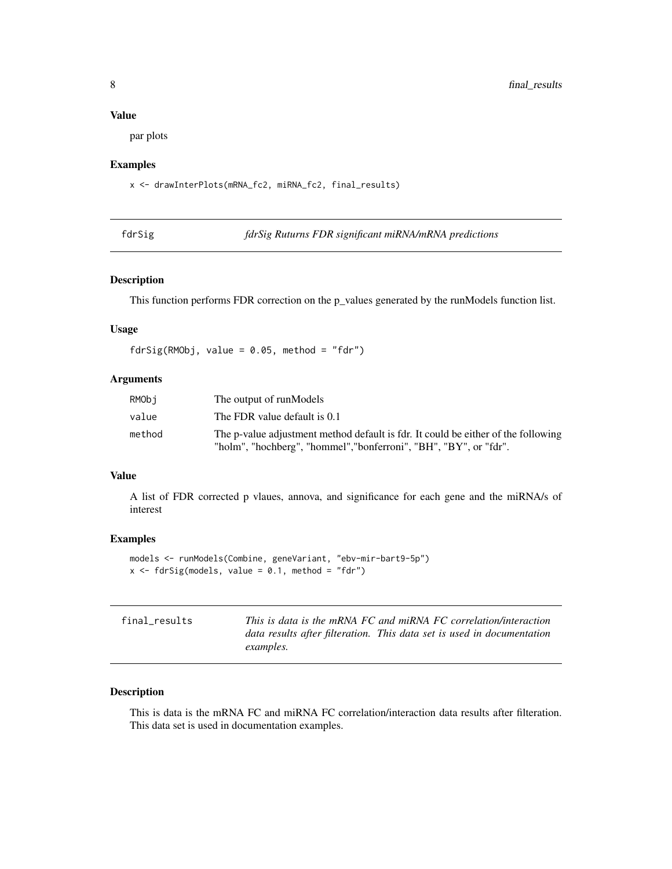# <span id="page-7-0"></span>Value

par plots

#### Examples

x <- drawInterPlots(mRNA\_fc2, miRNA\_fc2, final\_results)

fdrSig *fdrSig Ruturns FDR significant miRNA/mRNA predictions*

#### Description

This function performs FDR correction on the p\_values generated by the runModels function list.

#### Usage

 $fdrSig(RMObj, value = 0.05, method = "fdr")$ 

# Arguments

| RMObi  | The output of runModels                                                                                                                                |
|--------|--------------------------------------------------------------------------------------------------------------------------------------------------------|
| value  | The FDR value default is 0.1                                                                                                                           |
| method | The p-value adjustment method default is fdr. It could be either of the following<br>"holm", "hochberg", "hommel", "bonferroni", "BH", "BY", or "fdr". |

#### Value

A list of FDR corrected p vlaues, annova, and significance for each gene and the miRNA/s of interest

#### Examples

```
models <- runModels(Combine, geneVariant, "ebv-mir-bart9-5p")
x \leftarrow fdrSig(models, value = 0.1, method = "fdr")
```

| final results | This is data is the mRNA FC and miRNA FC correlation/interaction       |
|---------------|------------------------------------------------------------------------|
|               | data results after filteration. This data set is used in documentation |
|               | <i>examples.</i>                                                       |

#### Description

This is data is the mRNA FC and miRNA FC correlation/interaction data results after filteration. This data set is used in documentation examples.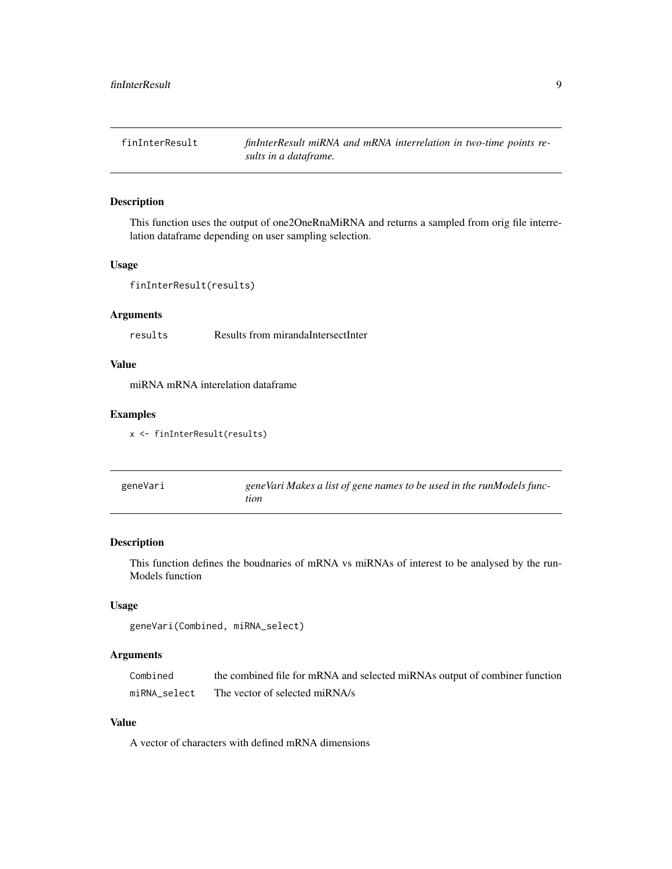<span id="page-8-0"></span>finInterResult *finInterResult miRNA and mRNA interrelation in two-time points results in a dataframe.*

#### Description

This function uses the output of one2OneRnaMiRNA and returns a sampled from orig file interrelation dataframe depending on user sampling selection.

#### Usage

```
finInterResult(results)
```
#### Arguments

results Results from mirandaIntersectInter

#### Value

miRNA mRNA interelation dataframe

#### Examples

x <- finInterResult(results)

| geneVari | geneVari Makes a list of gene names to be used in the runModels func- |
|----------|-----------------------------------------------------------------------|
|          | tion                                                                  |

# Description

This function defines the boudnaries of mRNA vs miRNAs of interest to be analysed by the run-Models function

#### Usage

```
geneVari(Combined, miRNA_select)
```
#### Arguments

| Combined     | the combined file for mRNA and selected miRNAs output of combiner function |
|--------------|----------------------------------------------------------------------------|
| miRNA select | The vector of selected miRNA/s                                             |

#### Value

A vector of characters with defined mRNA dimensions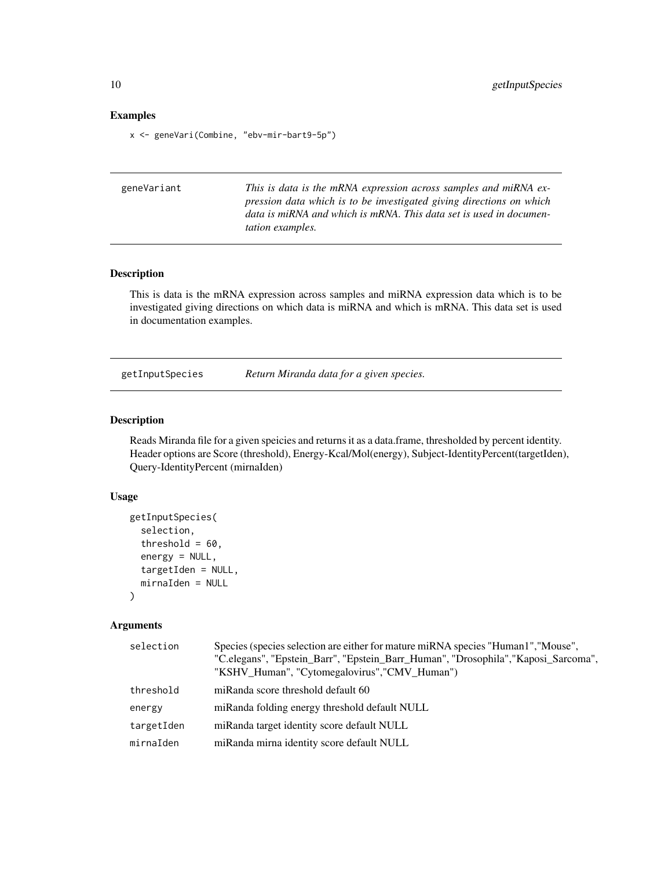#### <span id="page-9-0"></span>Examples

x <- geneVari(Combine, "ebv-mir-bart9-5p")

| This is data is the mRNA expression across samples and miRNA ex-     |
|----------------------------------------------------------------------|
| pression data which is to be investigated giving directions on which |
| data is miRNA and which is mRNA. This data set is used in documen-   |
| <i>tation examples.</i>                                              |
|                                                                      |

#### Description

This is data is the mRNA expression across samples and miRNA expression data which is to be investigated giving directions on which data is miRNA and which is mRNA. This data set is used in documentation examples.

getInputSpecies *Return Miranda data for a given species.*

#### Description

Reads Miranda file for a given speicies and returns it as a data.frame, thresholded by percent identity. Header options are Score (threshold), Energy-Kcal/Mol(energy), Subject-IdentityPercent(targetIden), Query-IdentityPercent (mirnaIden)

#### Usage

```
getInputSpecies(
  selection,
  threshold = 60,
  energy = NULL,
  targetIden = NULL,
  mirnaIden = NULL
)
```
#### Arguments

| selection  | Species (species selection are either for mature miRNA species "Human1", "Mouse",<br>"C.elegans", "Epstein_Barr", "Epstein_Barr_Human", "Drosophila", "Kaposi_Sarcoma",<br>"KSHV_Human", "Cytomegalovirus", "CMV_Human") |
|------------|--------------------------------------------------------------------------------------------------------------------------------------------------------------------------------------------------------------------------|
| threshold  | miRanda score threshold default 60                                                                                                                                                                                       |
| energy     | miRanda folding energy threshold default NULL                                                                                                                                                                            |
| targetIden | miRanda target identity score default NULL                                                                                                                                                                               |
| mirnaIden  | miRanda mirna identity score default NULL                                                                                                                                                                                |
|            |                                                                                                                                                                                                                          |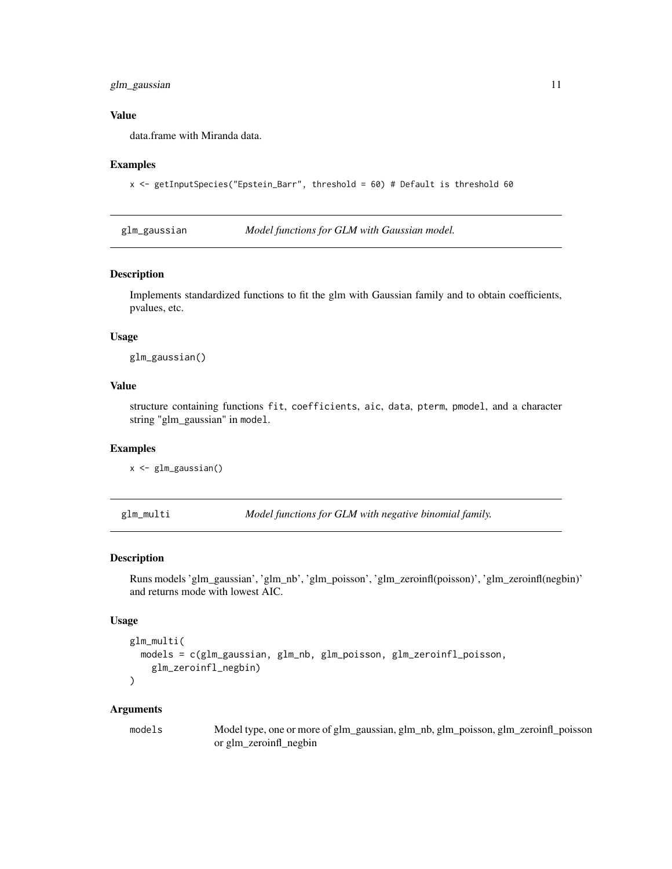# <span id="page-10-0"></span>glm\_gaussian 11

#### Value

data.frame with Miranda data.

#### Examples

```
x <- getInputSpecies("Epstein_Barr", threshold = 60) # Default is threshold 60
```
glm\_gaussian *Model functions for GLM with Gaussian model.*

#### Description

Implements standardized functions to fit the glm with Gaussian family and to obtain coefficients, pvalues, etc.

#### Usage

glm\_gaussian()

# Value

structure containing functions fit, coefficients, aic, data, pterm, pmodel, and a character string "glm\_gaussian" in model.

#### Examples

x <- glm\_gaussian()

glm\_multi *Model functions for GLM with negative binomial family.*

#### Description

Runs models 'glm\_gaussian', 'glm\_nb', 'glm\_poisson', 'glm\_zeroinfl(poisson)', 'glm\_zeroinfl(negbin)' and returns mode with lowest AIC.

#### Usage

```
glm_multi(
 models = c(glm_gaussian, glm_nb, glm_poisson, glm_zeroinfl_poisson,
    glm_zeroinfl_negbin)
\lambda
```
#### Arguments

models Model type, one or more of glm\_gaussian, glm\_nb, glm\_poisson, glm\_zeroinfl\_poisson or glm\_zeroinfl\_negbin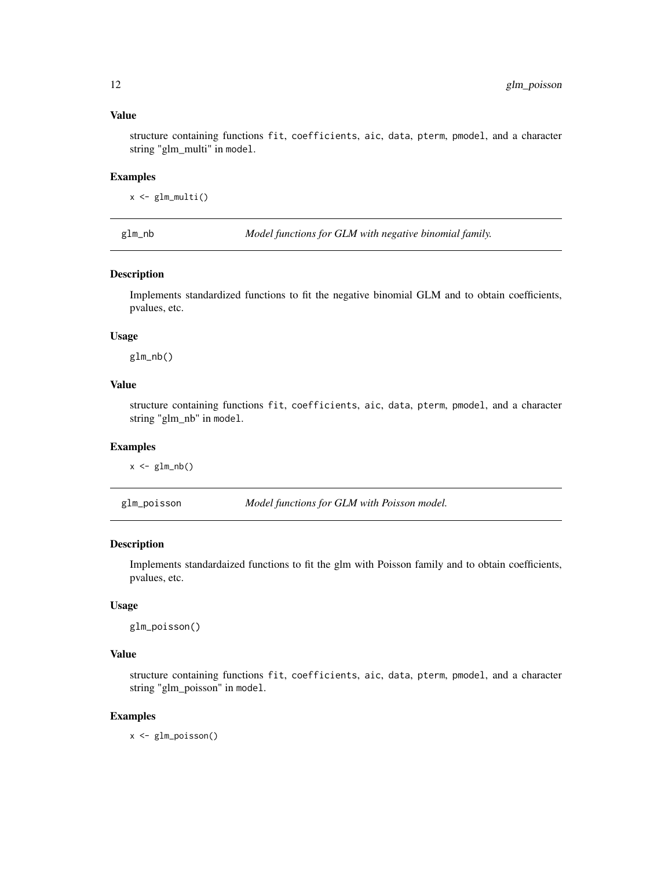#### <span id="page-11-0"></span>Value

structure containing functions fit, coefficients, aic, data, pterm, pmodel, and a character string "glm\_multi" in model.

#### Examples

 $x \leftarrow \text{glm\_multi}()$ 

glm\_nb *Model functions for GLM with negative binomial family.*

#### Description

Implements standardized functions to fit the negative binomial GLM and to obtain coefficients, pvalues, etc.

#### Usage

glm\_nb()

#### Value

structure containing functions fit, coefficients, aic, data, pterm, pmodel, and a character string "glm\_nb" in model.

#### Examples

 $x \leftarrow \text{glm\_nb}()$ 

glm\_poisson *Model functions for GLM with Poisson model.*

#### Description

Implements standardaized functions to fit the glm with Poisson family and to obtain coefficients, pvalues, etc.

#### Usage

```
glm_poisson()
```
#### Value

structure containing functions fit, coefficients, aic, data, pterm, pmodel, and a character string "glm\_poisson" in model.

#### Examples

x <- glm\_poisson()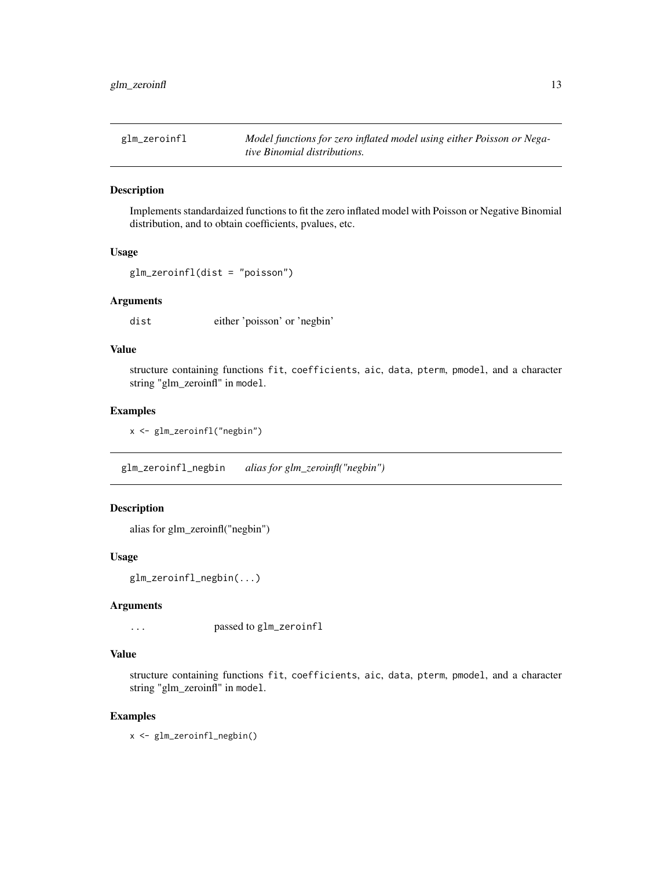<span id="page-12-0"></span>glm\_zeroinfl *Model functions for zero inflated model using either Poisson or Negative Binomial distributions.*

#### Description

Implements standardaized functions to fit the zero inflated model with Poisson or Negative Binomial distribution, and to obtain coefficients, pvalues, etc.

# Usage

```
glm_zeroinfl(dist = "poisson")
```
#### Arguments

dist either 'poisson' or 'negbin'

# Value

structure containing functions fit, coefficients, aic, data, pterm, pmodel, and a character string "glm\_zeroinfl" in model.

#### Examples

x <- glm\_zeroinfl("negbin")

glm\_zeroinfl\_negbin *alias for glm\_zeroinfl("negbin")*

#### Description

alias for glm\_zeroinfl("negbin")

#### Usage

glm\_zeroinfl\_negbin(...)

#### Arguments

... passed to glm\_zeroinfl

#### Value

structure containing functions fit, coefficients, aic, data, pterm, pmodel, and a character string "glm\_zeroinfl" in model.

#### Examples

x <- glm\_zeroinfl\_negbin()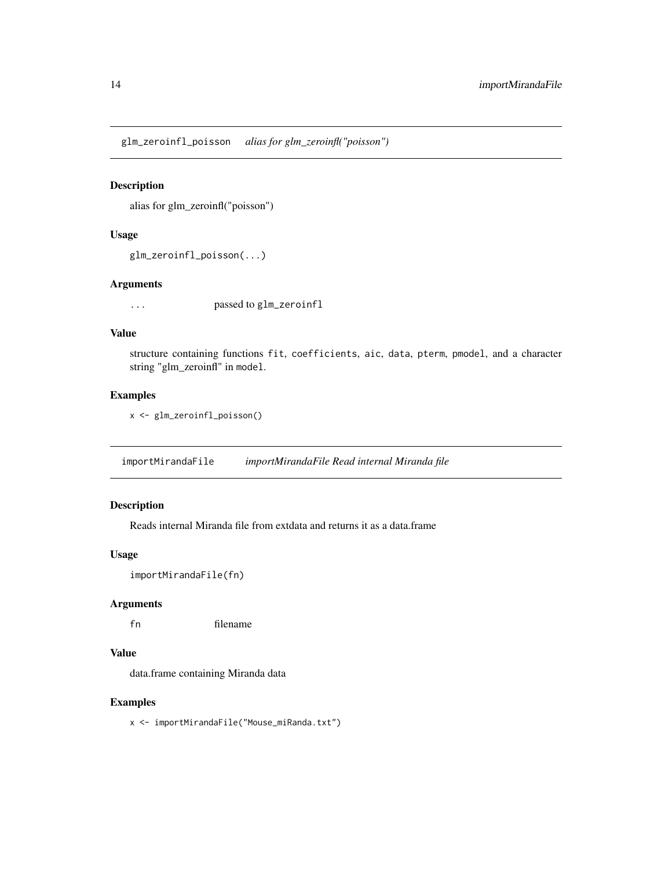<span id="page-13-0"></span>glm\_zeroinfl\_poisson *alias for glm\_zeroinfl("poisson")*

#### Description

alias for glm\_zeroinfl("poisson")

#### Usage

```
glm_zeroinfl_poisson(...)
```
# Arguments

... passed to glm\_zeroinfl

#### Value

structure containing functions fit, coefficients, aic, data, pterm, pmodel, and a character string "glm\_zeroinfl" in model.

# Examples

```
x <- glm_zeroinfl_poisson()
```
importMirandaFile *importMirandaFile Read internal Miranda file*

# Description

Reads internal Miranda file from extdata and returns it as a data.frame

#### Usage

```
importMirandaFile(fn)
```
#### Arguments

fn filename

# Value

data.frame containing Miranda data

#### Examples

x <- importMirandaFile("Mouse\_miRanda.txt")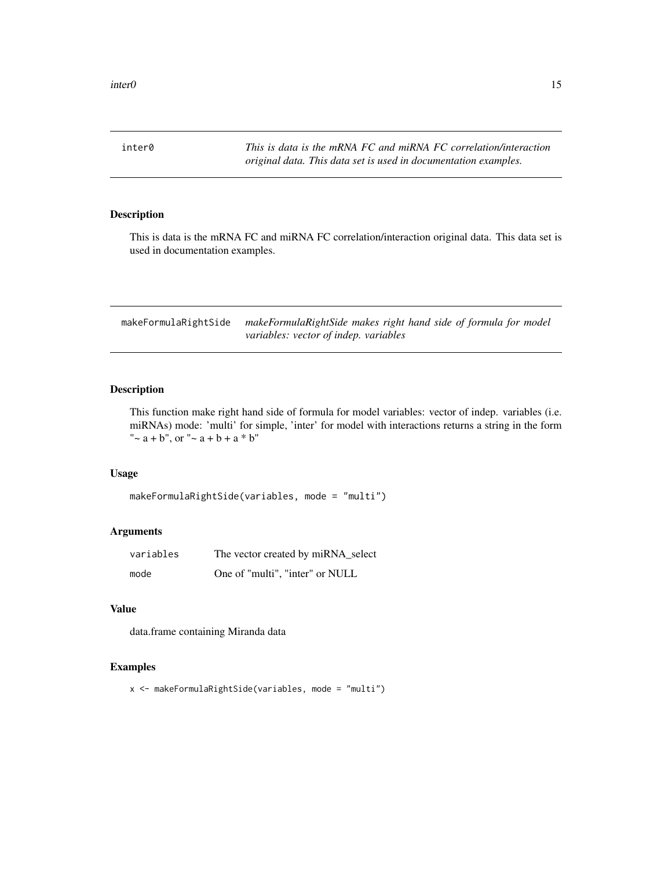<span id="page-14-0"></span>inter0 *This is data is the mRNA FC and miRNA FC correlation/interaction original data. This data set is used in documentation examples.*

#### Description

This is data is the mRNA FC and miRNA FC correlation/interaction original data. This data set is used in documentation examples.

makeFormulaRightSide *makeFormulaRightSide makes right hand side of formula for model variables: vector of indep. variables*

#### Description

This function make right hand side of formula for model variables: vector of indep. variables (i.e. miRNAs) mode: 'multi' for simple, 'inter' for model with interactions returns a string in the form " $\sim$  a + b", or " $\sim$  a + b + a \* b"

#### Usage

```
makeFormulaRightSide(variables, mode = "multi")
```
#### Arguments

| variables | The vector created by miRNA_select |
|-----------|------------------------------------|
| mode      | One of "multi", "inter" or NULL    |

#### Value

data.frame containing Miranda data

#### Examples

x <- makeFormulaRightSide(variables, mode = "multi")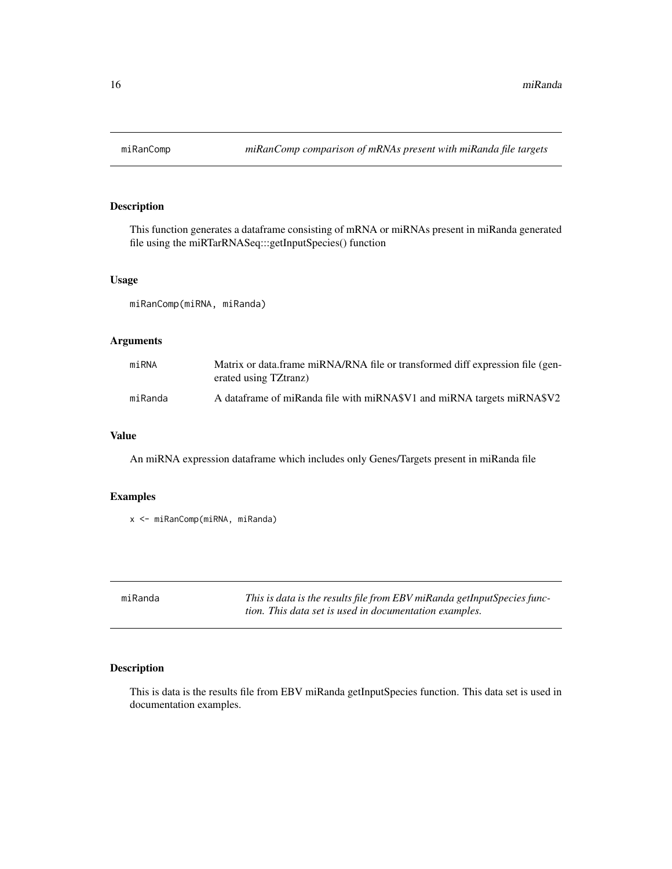<span id="page-15-0"></span>

This function generates a dataframe consisting of mRNA or miRNAs present in miRanda generated file using the miRTarRNASeq:::getInputSpecies() function

#### Usage

miRanComp(miRNA, miRanda)

#### Arguments

| miRNA   | Matrix or data.frame miRNA/RNA file or transformed diff expression file (gen-<br>erated using TZtranz) |
|---------|--------------------------------------------------------------------------------------------------------|
| miRanda | A data frame of miRanda file with miRNA\$V1 and miRNA targets miRNA\$V2                                |

#### Value

An miRNA expression dataframe which includes only Genes/Targets present in miRanda file

# Examples

x <- miRanComp(miRNA, miRanda)

| miRanda | This is data is the results file from EBV miRanda getInputSpecies func- |
|---------|-------------------------------------------------------------------------|
|         | tion. This data set is used in documentation examples.                  |

# Description

This is data is the results file from EBV miRanda getInputSpecies function. This data set is used in documentation examples.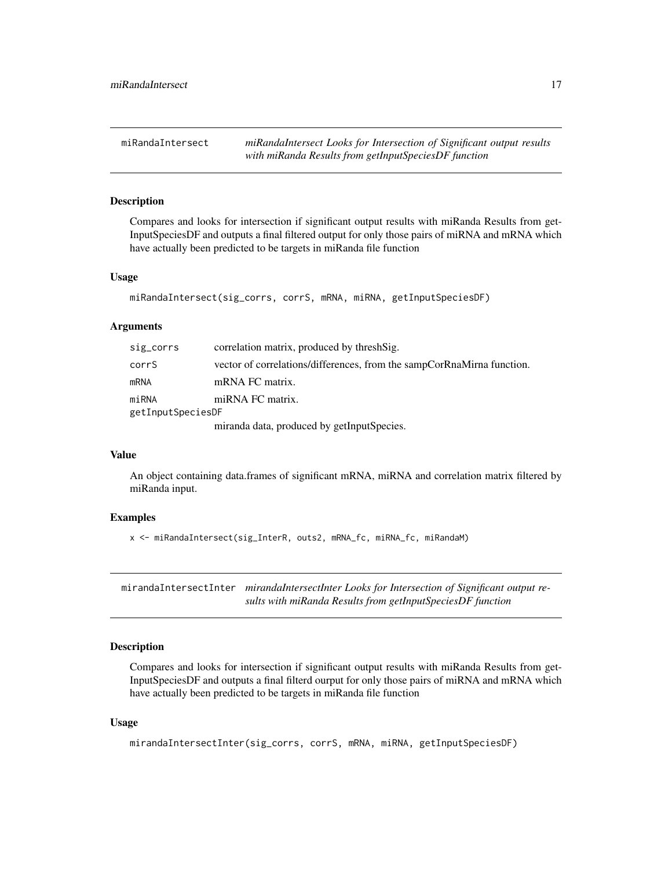<span id="page-16-0"></span>miRandaIntersect *miRandaIntersect Looks for Intersection of Significant output results with miRanda Results from getInputSpeciesDF function*

#### Description

Compares and looks for intersection if significant output results with miRanda Results from get-InputSpeciesDF and outputs a final filtered output for only those pairs of miRNA and mRNA which have actually been predicted to be targets in miRanda file function

#### Usage

```
miRandaIntersect(sig_corrs, corrS, mRNA, miRNA, getInputSpeciesDF)
```
#### Arguments

| sig_corrs         | correlation matrix, produced by thresh Sig.                            |  |
|-------------------|------------------------------------------------------------------------|--|
| corrS             | vector of correlations/differences, from the sampCorRnaMirna function. |  |
| mRNA              | mRNA FC matrix.                                                        |  |
| miRNA             | miRNA FC matrix.                                                       |  |
| getInputSpeciesDF |                                                                        |  |
|                   | miranda data, produced by getInputSpecies.                             |  |

#### Value

An object containing data.frames of significant mRNA, miRNA and correlation matrix filtered by miRanda input.

#### Examples

x <- miRandaIntersect(sig\_InterR, outs2, mRNA\_fc, miRNA\_fc, miRandaM)

mirandaIntersectInter *mirandaIntersectInter Looks for Intersection of Significant output results with miRanda Results from getInputSpeciesDF function*

#### Description

Compares and looks for intersection if significant output results with miRanda Results from get-InputSpeciesDF and outputs a final filterd ourput for only those pairs of miRNA and mRNA which have actually been predicted to be targets in miRanda file function

#### Usage

mirandaIntersectInter(sig\_corrs, corrS, mRNA, miRNA, getInputSpeciesDF)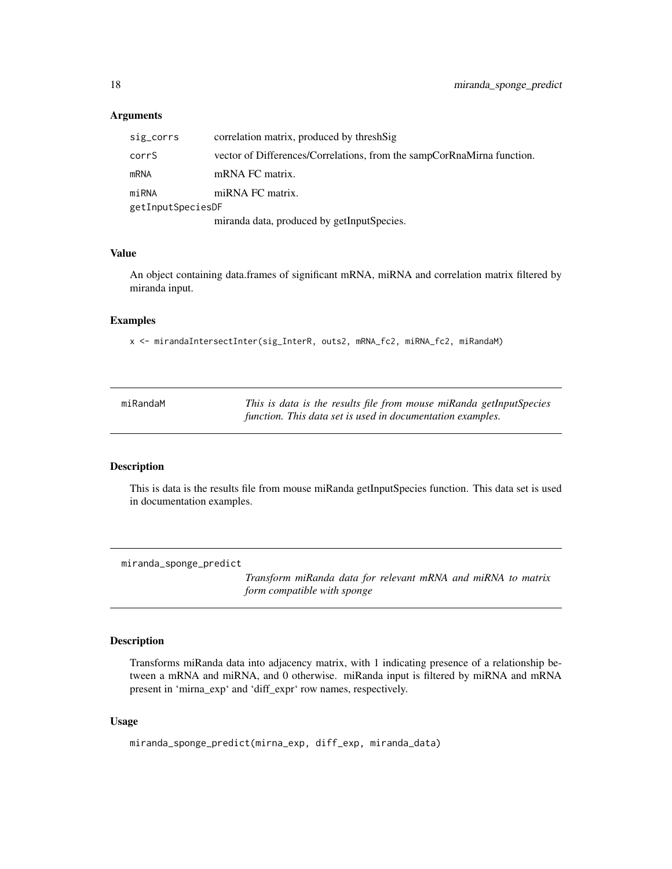#### <span id="page-17-0"></span>Arguments

| sig_corrs         | correlation matrix, produced by threshSig                              |  |  |
|-------------------|------------------------------------------------------------------------|--|--|
| corrS             | vector of Differences/Correlations, from the sampCorRnaMirna function. |  |  |
| <b>mRNA</b>       | mRNA FC matrix.                                                        |  |  |
| miRNA             | miRNA FC matrix.                                                       |  |  |
| getInputSpeciesDF |                                                                        |  |  |
|                   | miranda data, produced by getInputSpecies.                             |  |  |

# Value

An object containing data.frames of significant mRNA, miRNA and correlation matrix filtered by miranda input.

# Examples

x <- mirandaIntersectInter(sig\_InterR, outs2, mRNA\_fc2, miRNA\_fc2, miRandaM)

| miRandaM | This is data is the results file from mouse miRanda getInputSpecies |  |
|----------|---------------------------------------------------------------------|--|
|          | function. This data set is used in documentation examples.          |  |

#### Description

This is data is the results file from mouse miRanda getInputSpecies function. This data set is used in documentation examples.

miranda\_sponge\_predict

*Transform miRanda data for relevant mRNA and miRNA to matrix form compatible with sponge*

#### Description

Transforms miRanda data into adjacency matrix, with 1 indicating presence of a relationship between a mRNA and miRNA, and 0 otherwise. miRanda input is filtered by miRNA and mRNA present in 'mirna\_exp' and 'diff\_expr' row names, respectively.

#### Usage

```
miranda_sponge_predict(mirna_exp, diff_exp, miranda_data)
```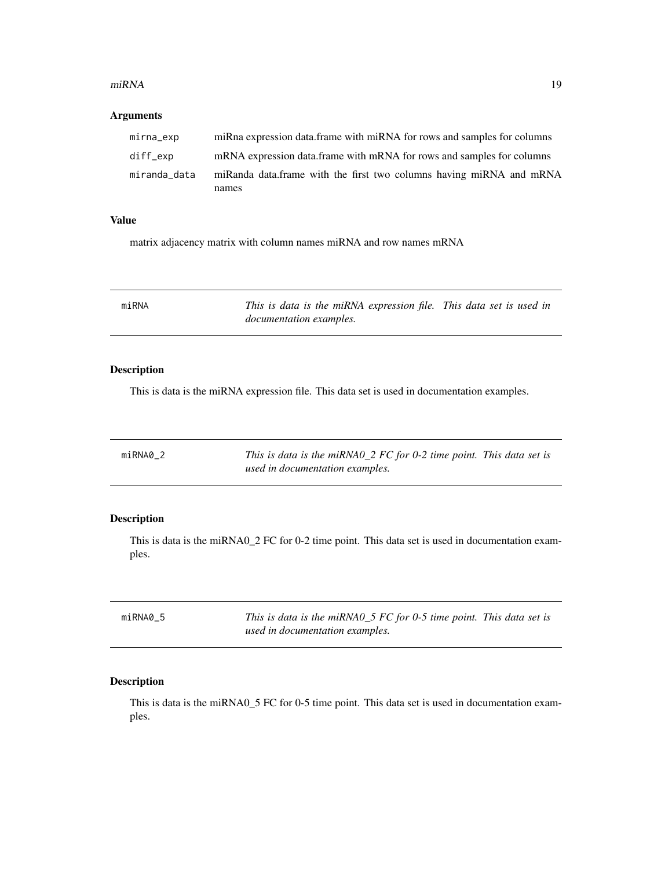#### <span id="page-18-0"></span>miRNA 19

# Arguments

| mirna_exp    | miRna expression data.frame with miRNA for rows and samples for columns |
|--------------|-------------------------------------------------------------------------|
| diff_exp     | mRNA expression data frame with mRNA for rows and samples for columns   |
| miranda_data | miRanda data.frame with the first two columns having miRNA and mRNA     |
|              | names                                                                   |

#### Value

matrix adjacency matrix with column names miRNA and row names mRNA

| miRNA | This is data is the miRNA expression file. This data set is used in |  |
|-------|---------------------------------------------------------------------|--|
|       | <i>documentation examples.</i>                                      |  |

#### Description

This is data is the miRNA expression file. This data set is used in documentation examples.

| miRNA0 2 | This is data is the miRNA0_2 $FC$ for 0-2 time point. This data set is |  |
|----------|------------------------------------------------------------------------|--|
|          | used in documentation examples.                                        |  |

# Description

This is data is the miRNA0\_2 FC for 0-2 time point. This data set is used in documentation examples.

| miRNA0 5 | This is data is the miRNA0_5 $FC$ for 0-5 time point. This data set is |
|----------|------------------------------------------------------------------------|
|          | used in documentation examples.                                        |

# Description

This is data is the miRNA0\_5 FC for 0-5 time point. This data set is used in documentation examples.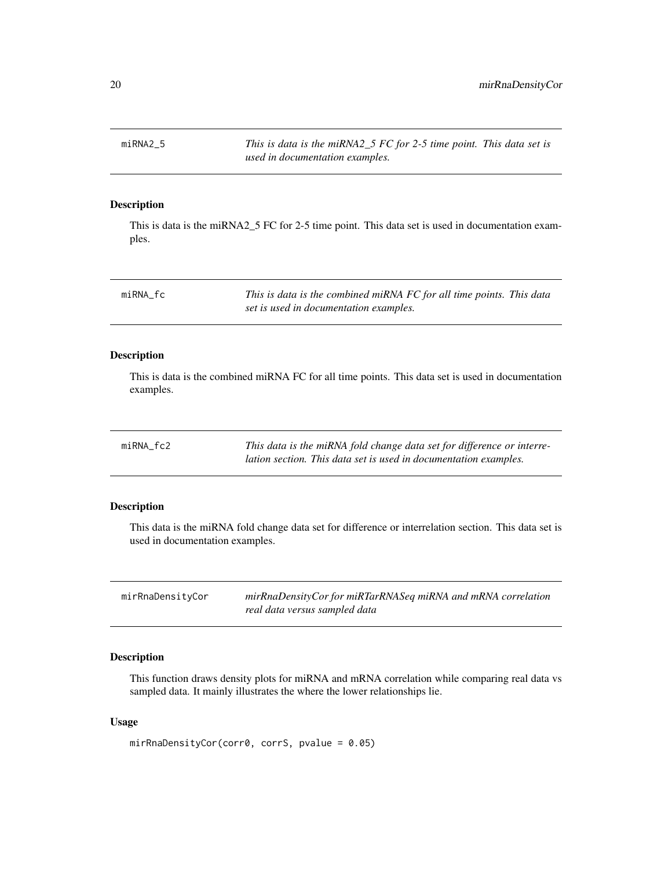<span id="page-19-0"></span>miRNA2\_5 *This is data is the miRNA2\_5 FC for 2-5 time point. This data set is used in documentation examples.*

# Description

This is data is the miRNA2\_5 FC for 2-5 time point. This data set is used in documentation examples.

| miRNA fc | This is data is the combined miRNA FC for all time points. This data |  |
|----------|----------------------------------------------------------------------|--|
|          | set is used in documentation examples.                               |  |

# Description

This is data is the combined miRNA FC for all time points. This data set is used in documentation examples.

| $miRNA_fc2$ | This data is the miRNA fold change data set for difference or interre- |
|-------------|------------------------------------------------------------------------|
|             | lation section. This data set is used in documentation examples.       |

# Description

This data is the miRNA fold change data set for difference or interrelation section. This data set is used in documentation examples.

| mirRnaDensityCor | mirRnaDensityCor for miRTarRNASeq miRNA and mRNA correlation |
|------------------|--------------------------------------------------------------|
|                  | real data versus sampled data                                |

# Description

This function draws density plots for miRNA and mRNA correlation while comparing real data vs sampled data. It mainly illustrates the where the lower relationships lie.

#### Usage

```
mirRnaDensityCor(corr0, corrS, pvalue = 0.05)
```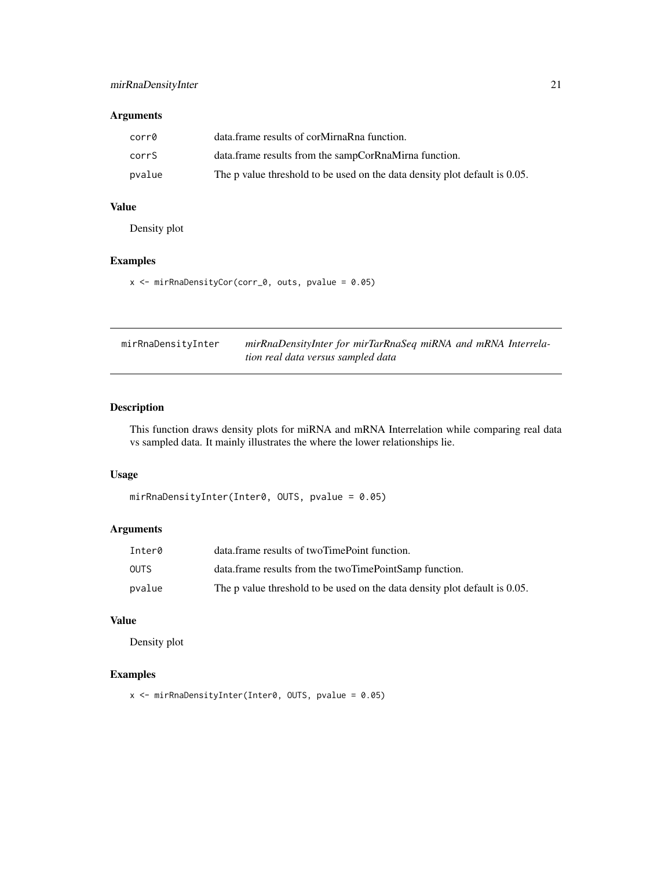# <span id="page-20-0"></span>Arguments

| corr0  | data frame results of corMirnaRna function.                                |
|--------|----------------------------------------------------------------------------|
| corrS  | data.frame results from the sampCorRnaMirna function.                      |
| pvalue | The p value threshold to be used on the data density plot default is 0.05. |

# Value

Density plot

# Examples

```
x \le mirRnaDensityCor(corr_0, outs, pvalue = 0.05)
```

| mirRnaDensityInter | mirRnaDensityInter for mirTarRnaSeq miRNA and mRNA Interrela- |
|--------------------|---------------------------------------------------------------|
|                    | tion real data versus sampled data                            |

# Description

This function draws density plots for miRNA and mRNA Interrelation while comparing real data vs sampled data. It mainly illustrates the where the lower relationships lie.

#### Usage

```
mirRnaDensityInter(Inter0, OUTS, pvalue = 0.05)
```
# Arguments

| Inter0      | data frame results of two Time Point function.                             |
|-------------|----------------------------------------------------------------------------|
| <b>OUTS</b> | data.frame results from the twoTimePointSamp function.                     |
| pvalue      | The p value threshold to be used on the data density plot default is 0.05. |

#### Value

Density plot

#### Examples

x <- mirRnaDensityInter(Inter0, OUTS, pvalue = 0.05)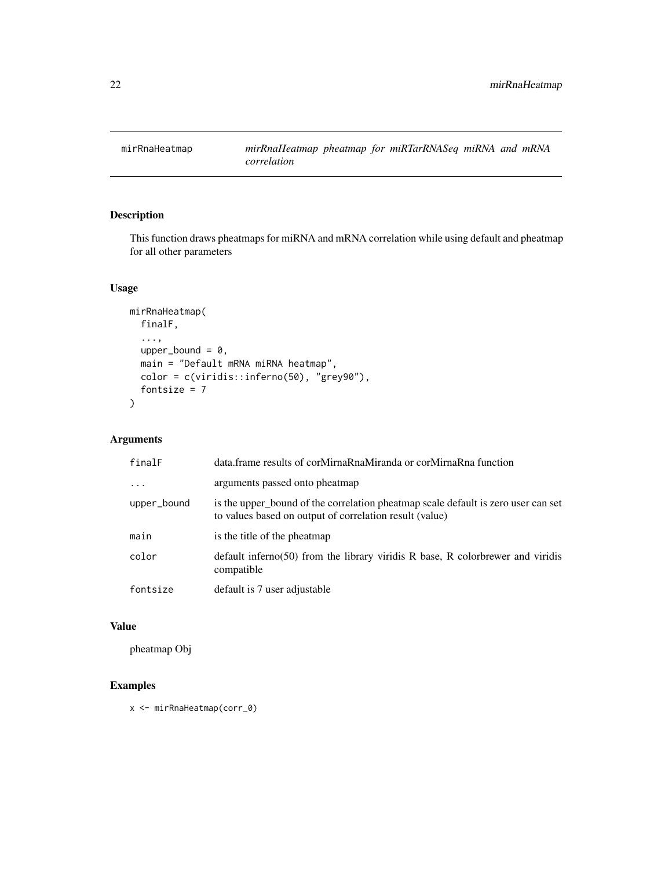<span id="page-21-0"></span>

This function draws pheatmaps for miRNA and mRNA correlation while using default and pheatmap for all other parameters

# Usage

```
mirRnaHeatmap(
  finalF,
  ...,
 upper_bound = 0,
 main = "Default mRNA miRNA heatmap",
 color = c(viridis::inferno(50), "grey90"),
  fontsize = 7
)
```
# Arguments

| finalF      | data.frame results of corMirnaRnaMiranda or corMirnaRna function                                                                             |
|-------------|----------------------------------------------------------------------------------------------------------------------------------------------|
| .           | arguments passed onto pheatmap                                                                                                               |
| upper_bound | is the upper bound of the correlation pheatmap scale default is zero user can set<br>to values based on output of correlation result (value) |
| main        | is the title of the pheatmap                                                                                                                 |
| color       | default inferno(50) from the library viridis R base, R colorbrewer and viridis<br>compatible                                                 |
| fontsize    | default is 7 user adjustable                                                                                                                 |

#### Value

pheatmap Obj

# Examples

x <- mirRnaHeatmap(corr\_0)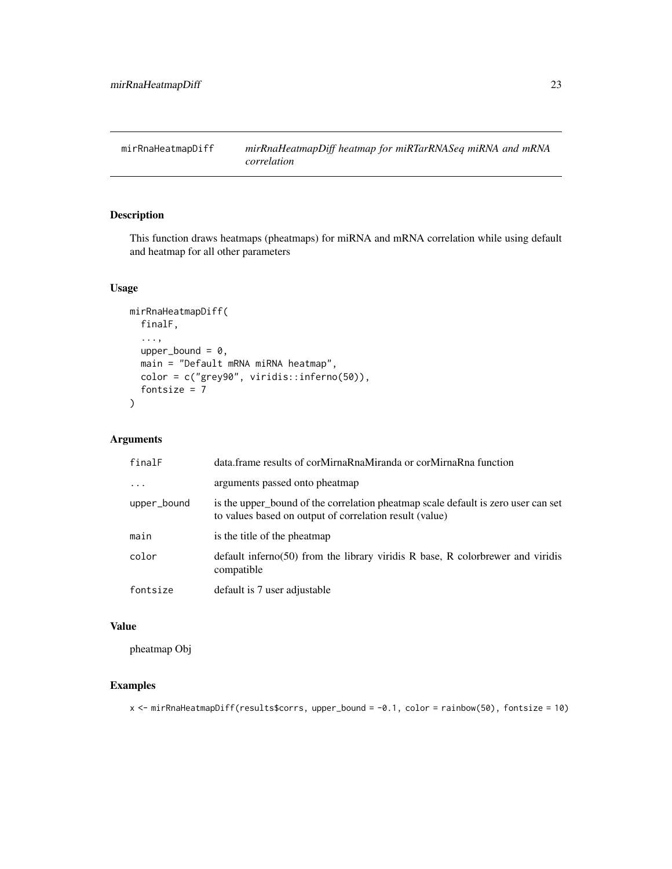<span id="page-22-0"></span>mirRnaHeatmapDiff *mirRnaHeatmapDiff heatmap for miRTarRNASeq miRNA and mRNA correlation*

# Description

This function draws heatmaps (pheatmaps) for miRNA and mRNA correlation while using default and heatmap for all other parameters

# Usage

```
mirRnaHeatmapDiff(
  finalF,
  ...,
  upper_bound = 0,
 main = "Default mRNA miRNA heatmap",
  color = c("grey90", viridis::inferno(50)),
  fontsize = 7
)
```
#### Arguments

| finalF      | data.frame results of corMirnaRnaMiranda or corMirnaRna function                                                                             |
|-------------|----------------------------------------------------------------------------------------------------------------------------------------------|
| .           | arguments passed onto pheatmap                                                                                                               |
| upper_bound | is the upper bound of the correlation pheatmap scale default is zero user can set<br>to values based on output of correlation result (value) |
| main        | is the title of the pheatmap                                                                                                                 |
| color       | default inferno(50) from the library viridis $R$ base, $R$ colorbrewer and viridis<br>compatible                                             |
| fontsize    | default is 7 user adjustable                                                                                                                 |

#### Value

pheatmap Obj

#### Examples

x <- mirRnaHeatmapDiff(results\$corrs, upper\_bound = -0.1, color = rainbow(50), fontsize = 10)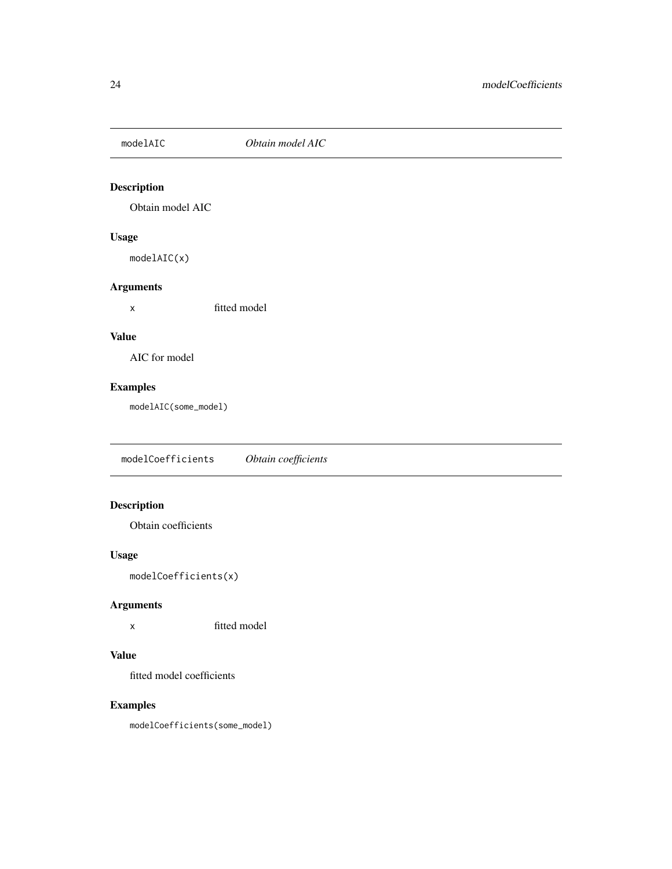<span id="page-23-0"></span>

Obtain model AIC

# Usage

modelAIC(x)

# Arguments

x fitted model

# Value

AIC for model

# Examples

modelAIC(some\_model)

modelCoefficients *Obtain coefficients*

# Description

Obtain coefficients

# Usage

modelCoefficients(x)

# Arguments

x fitted model

# Value

fitted model coefficients

# Examples

modelCoefficients(some\_model)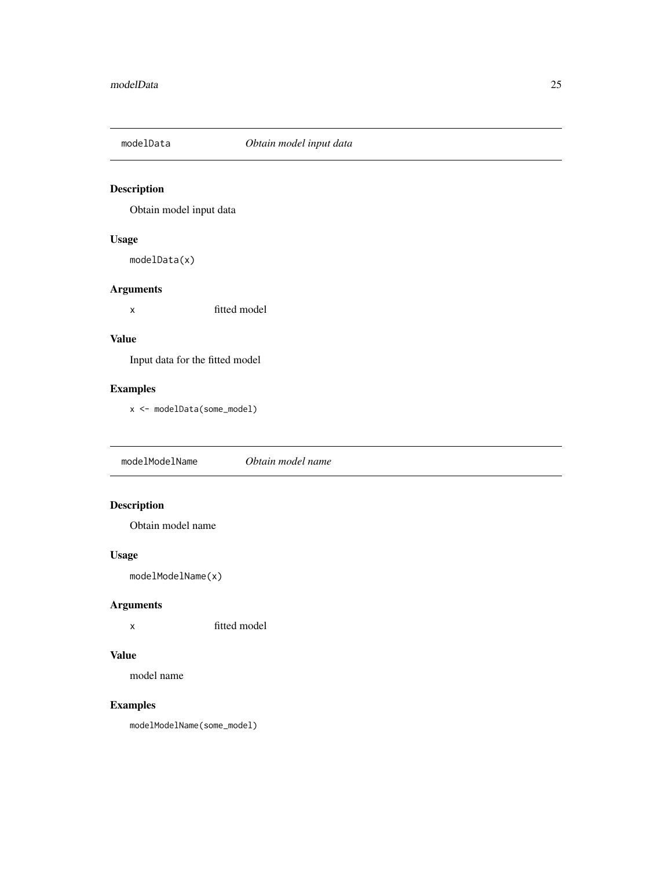<span id="page-24-0"></span>

Obtain model input data

# Usage

modelData(x)

# Arguments

x fitted model

# Value

Input data for the fitted model

# Examples

x <- modelData(some\_model)

modelModelName *Obtain model name*

# Description

Obtain model name

# Usage

modelModelName(x)

# Arguments

x fitted model

#### Value

model name

# Examples

modelModelName(some\_model)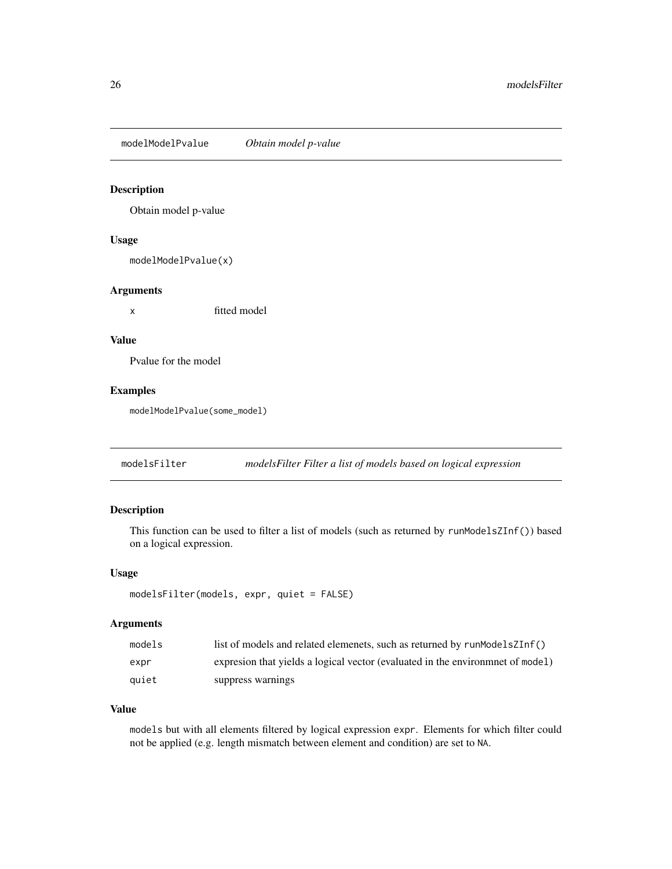<span id="page-25-0"></span>modelModelPvalue *Obtain model p-value*

# Description

Obtain model p-value

#### Usage

modelModelPvalue(x)

#### Arguments

x fitted model

#### Value

Pvalue for the model

#### Examples

modelModelPvalue(some\_model)

modelsFilter *modelsFilter Filter a list of models based on logical expression*

# Description

This function can be used to filter a list of models (such as returned by runModelsZInf()) based on a logical expression.

#### Usage

```
modelsFilter(models, expr, quiet = FALSE)
```
#### Arguments

| models | list of models and related elemenets, such as returned by runModelsZInf()       |
|--------|---------------------------------------------------------------------------------|
| expr   | expression that yields a logical vector (evaluated in the environment of model) |
| auiet  | suppress warnings                                                               |

#### Value

models but with all elements filtered by logical expression expr. Elements for which filter could not be applied (e.g. length mismatch between element and condition) are set to NA.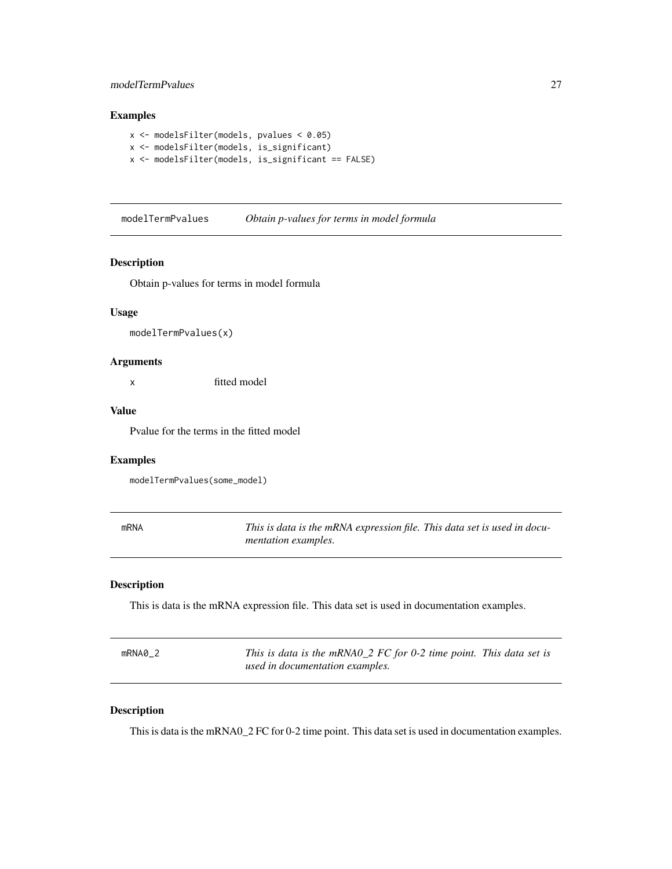# <span id="page-26-0"></span>modelTermPvalues 27

# Examples

```
x <- modelsFilter(models, pvalues < 0.05)
x <- modelsFilter(models, is_significant)
x <- modelsFilter(models, is_significant == FALSE)
```
modelTermPvalues *Obtain p-values for terms in model formula*

#### Description

Obtain p-values for terms in model formula

#### Usage

modelTermPvalues(x)

#### Arguments

x fitted model

#### Value

Pvalue for the terms in the fitted model

#### Examples

modelTermPvalues(some\_model)

| <b>mRNA</b> | This is data is the mRNA expression file. This data set is used in docu- |
|-------------|--------------------------------------------------------------------------|
|             | <i>mentation examples.</i>                                               |

# Description

This is data is the mRNA expression file. This data set is used in documentation examples.

| mRNA0 2 | This is data is the mRNA0_2 FC for 0-2 time point. This data set is |  |
|---------|---------------------------------------------------------------------|--|
|         | used in documentation examples.                                     |  |

# Description

This is data is the mRNA0\_2 FC for 0-2 time point. This data set is used in documentation examples.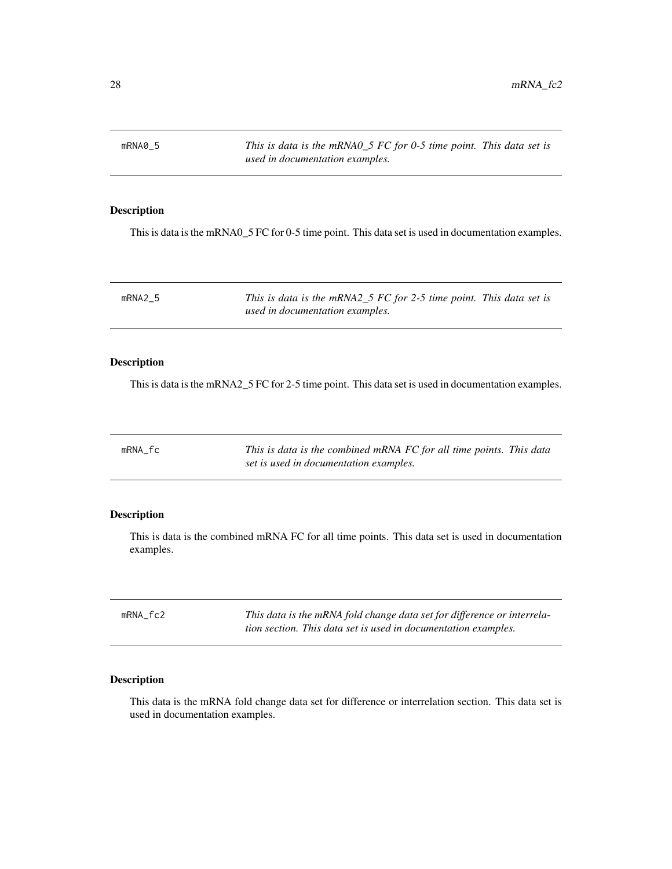<span id="page-27-0"></span>mRNA0\_5 *This is data is the mRNA0\_5 FC for 0-5 time point. This data set is used in documentation examples.*

# Description

This is data is the mRNA0\_5 FC for 0-5 time point. This data set is used in documentation examples.

mRNA2\_5 *This is data is the mRNA2\_5 FC for 2-5 time point. This data set is used in documentation examples.*

#### Description

This is data is the mRNA2\_5 FC for 2-5 time point. This data set is used in documentation examples.

| mRNA fc | This is data is the combined mRNA FC for all time points. This data |
|---------|---------------------------------------------------------------------|
|         | set is used in documentation examples.                              |

#### Description

This is data is the combined mRNA FC for all time points. This data set is used in documentation examples.

| mRNA fc2 | This data is the mRNA fold change data set for difference or interrela- |
|----------|-------------------------------------------------------------------------|
|          | tion section. This data set is used in documentation examples.          |

# Description

This data is the mRNA fold change data set for difference or interrelation section. This data set is used in documentation examples.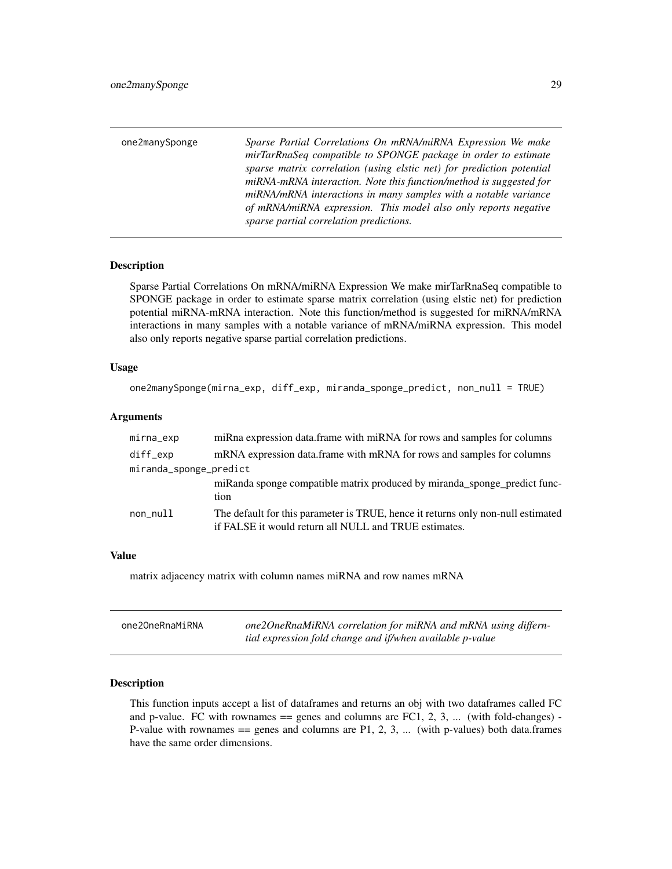<span id="page-28-0"></span>

| one2manySponge | Sparse Partial Correlations On mRNA/miRNA Expression We make<br>mirTarRnaSeq compatible to SPONGE package in order to estimate                                                                                 |
|----------------|----------------------------------------------------------------------------------------------------------------------------------------------------------------------------------------------------------------|
|                | sparse matrix correlation (using elstic net) for prediction potential<br>miRNA-mRNA interaction. Note this function/method is suggested for<br>miRNA/mRNA interactions in many samples with a notable variance |
|                | of mRNA/miRNA expression. This model also only reports negative<br>sparse partial correlation predictions.                                                                                                     |

Sparse Partial Correlations On mRNA/miRNA Expression We make mirTarRnaSeq compatible to SPONGE package in order to estimate sparse matrix correlation (using elstic net) for prediction potential miRNA-mRNA interaction. Note this function/method is suggested for miRNA/mRNA interactions in many samples with a notable variance of mRNA/miRNA expression. This model also only reports negative sparse partial correlation predictions.

#### Usage

```
one2manySponge(mirna_exp, diff_exp, miranda_sponge_predict, non_null = TRUE)
```
#### Arguments

| mirna_exp              | miRna expression data.frame with miRNA for rows and samples for columns          |
|------------------------|----------------------------------------------------------------------------------|
| diff_exp               | mRNA expression data.frame with mRNA for rows and samples for columns            |
| miranda_sponge_predict |                                                                                  |
|                        | miRanda sponge compatible matrix produced by miranda_sponge_predict func-        |
|                        | tion                                                                             |
| non_null               | The default for this parameter is TRUE, hence it returns only non-null estimated |
|                        | if FALSE it would return all NULL and TRUE estimates.                            |

#### Value

matrix adjacency matrix with column names miRNA and row names mRNA

| one20neRnaMiRNA | one2OneRnaMiRNA correlation for miRNA and mRNA using differn- |
|-----------------|---------------------------------------------------------------|
|                 | tial expression fold change and if/when available p-value     |

#### Description

This function inputs accept a list of dataframes and returns an obj with two dataframes called FC and p-value. FC with rownames  $==$  genes and columns are FC1, 2, 3, ... (with fold-changes) -P-value with rownames  $=$  genes and columns are P1, 2, 3, ... (with p-values) both data.frames have the same order dimensions.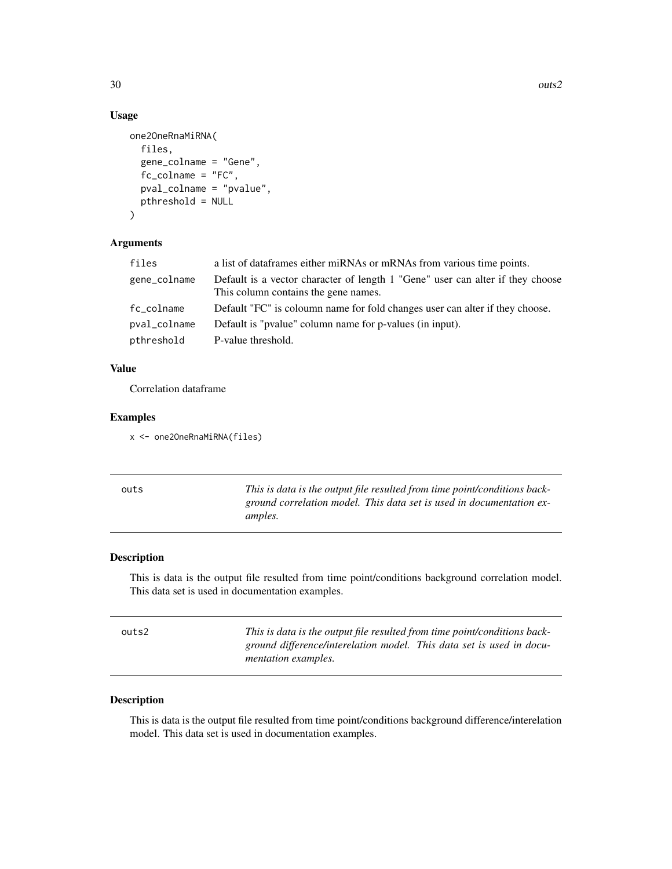# Usage

```
one2OneRnaMiRNA(
  files,
  gene_colname = "Gene",
  fc_colname = "FC",
 pval_colname = "pvalue",
 pthreshold = NULL
)
```
# Arguments

| files        | a list of dataframes either miRNAs or mRNAs from various time points.                                                  |
|--------------|------------------------------------------------------------------------------------------------------------------------|
| gene_colname | Default is a vector character of length 1 "Gene" user can alter if they choose<br>This column contains the gene names. |
| fc_colname   | Default "FC" is coloumn name for fold changes user can alter if they choose.                                           |
| pval_colname | Default is "pvalue" column name for p-values (in input).                                                               |
| pthreshold   | P-value threshold.                                                                                                     |

# Value

Correlation dataframe

# Examples

```
x <- one2OneRnaMiRNA(files)
```

| outs | This is data is the output file resulted from time point/conditions back- |
|------|---------------------------------------------------------------------------|
|      | ground correlation model. This data set is used in documentation ex-      |
|      | <i>amples.</i>                                                            |

# Description

This is data is the output file resulted from time point/conditions background correlation model. This data set is used in documentation examples.

| outs2 | This is data is the output file resulted from time point/conditions back-                          |  |
|-------|----------------------------------------------------------------------------------------------------|--|
|       | ground difference/interelation model. This data set is used in docu-<br><i>mentation examples.</i> |  |
|       |                                                                                                    |  |

# Description

This is data is the output file resulted from time point/conditions background difference/interelation model. This data set is used in documentation examples.

<span id="page-29-0"></span>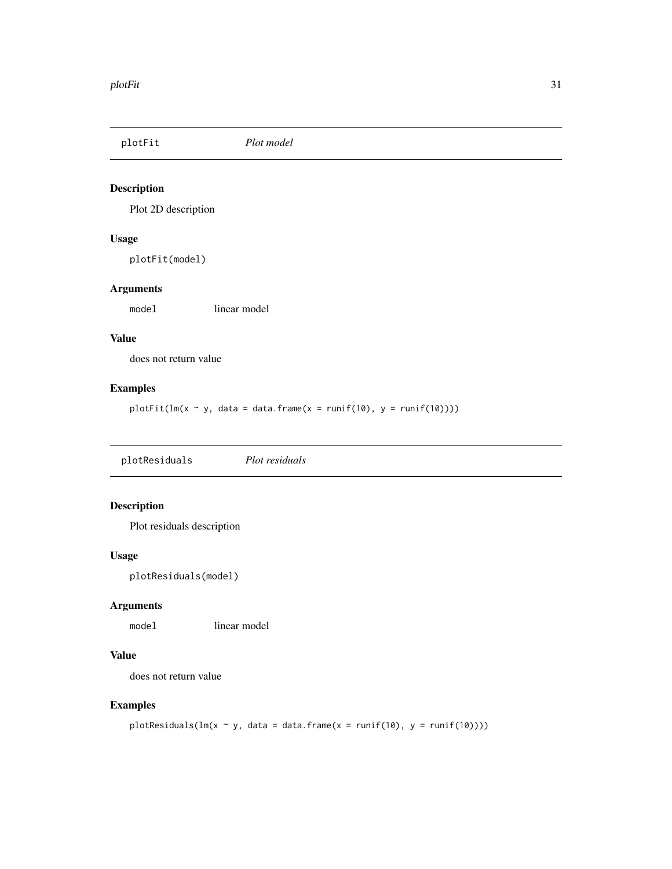<span id="page-30-0"></span>plotFit *Plot model*

# Description

Plot 2D description

# Usage

plotFit(model)

# Arguments

model linear model

# Value

does not return value

#### Examples

plotFit( $lm(x \sim y, data = data-frame(x = runif(10), y = runif(10))))$ 

plotResiduals *Plot residuals*

# Description

Plot residuals description

#### Usage

plotResiduals(model)

# Arguments

model linear model

# Value

does not return value

# Examples

```
plotResiduals(lm(x \sim y, data = data frame(x = runif(10), y = runif(10))))
```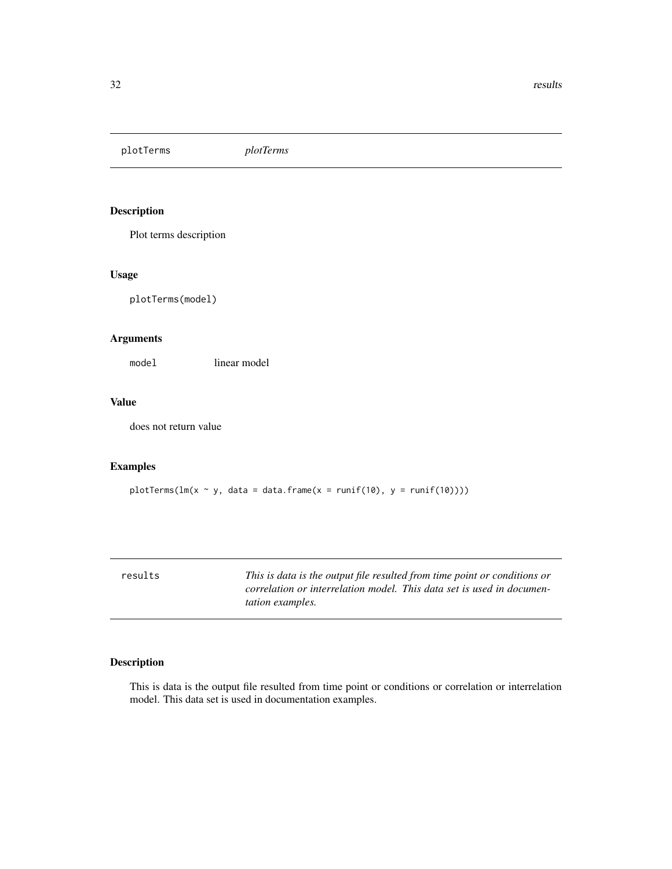<span id="page-31-0"></span>plotTerms *plotTerms*

#### Description

Plot terms description

#### Usage

plotTerms(model)

#### Arguments

model linear model

#### Value

does not return value

# Examples

plotTerms( $lm(x \sim y, data = data-frame(x = runif(10), y = runif(10))))$ 

results *This is data is the output file resulted from time point or conditions or correlation or interrelation model. This data set is used in documentation examples.*

# Description

This is data is the output file resulted from time point or conditions or correlation or interrelation model. This data set is used in documentation examples.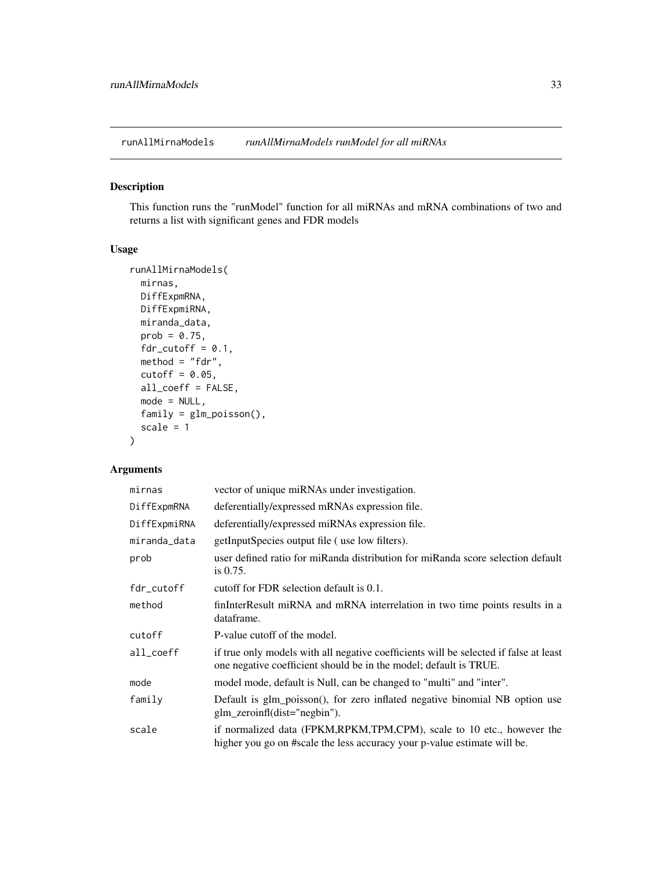<span id="page-32-0"></span>runAllMirnaModels *runAllMirnaModels runModel for all miRNAs*

# Description

This function runs the "runModel" function for all miRNAs and mRNA combinations of two and returns a list with significant genes and FDR models

#### Usage

```
runAllMirnaModels(
 mirnas,
 DiffExpmRNA,
 DiffExpmiRNA,
 miranda_data,
 prob = 0.75,
  fdr\_cutoff = 0.1,
 method = "fdr",cutoff = 0.05,
  all_coeff = FALSE,
 mode = NULL,family = glm_poisson(),
  scale = 1)
```
# Arguments

| mirnas       | vector of unique miRNAs under investigation.                                                                                                               |
|--------------|------------------------------------------------------------------------------------------------------------------------------------------------------------|
| DiffExpmRNA  | deferentially/expressed mRNAs expression file.                                                                                                             |
| DiffExpmiRNA | deferentially/expressed miRNAs expression file.                                                                                                            |
| miranda_data | getInputSpecies output file (use low filters).                                                                                                             |
| prob         | user defined ratio for miRanda distribution for miRanda score selection default<br>is $0.75$ .                                                             |
| fdr_cutoff   | cutoff for FDR selection default is 0.1.                                                                                                                   |
| method       | finInterResult miRNA and mRNA interrelation in two time points results in a<br>dataframe.                                                                  |
| cutoff       | P-value cutoff of the model.                                                                                                                               |
| all_coeff    | if true only models with all negative coefficients will be selected if false at least<br>one negative coefficient should be in the model; default is TRUE. |
| mode         | model mode, default is Null, can be changed to "multi" and "inter".                                                                                        |
| family       | Default is glm_poisson(), for zero inflated negative binomial NB option use<br>$g\ln$ zeroinfl(dist="negbin").                                             |
| scale        | if normalized data (FPKM, RPKM, TPM, CPM), scale to 10 etc., however the<br>higher you go on #scale the less accuracy your p-value estimate will be.       |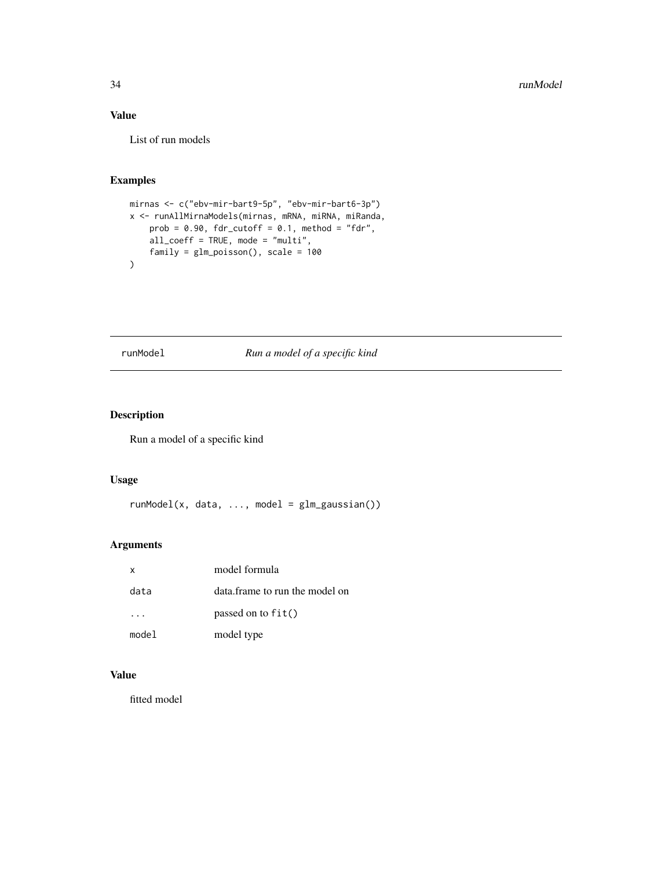# <span id="page-33-0"></span>Value

List of run models

# Examples

```
mirnas <- c("ebv-mir-bart9-5p", "ebv-mir-bart6-3p")
x <- runAllMirnaModels(mirnas, mRNA, miRNA, miRanda,
   prob = 0.90, fdr_cutoff = 0.1, method = "fdr",all_coeff = TRUE, mode = "multi",
   family = glm_poisson(), scale = 100
)
```
# runModel *Run a model of a specific kind*

# Description

Run a model of a specific kind

#### Usage

runModel(x, data, ..., model = glm\_gaussian())

# Arguments

| X     | model formula                  |
|-------|--------------------------------|
| data  | data.frame to run the model on |
|       | passed on to $fit()$           |
| model | model type                     |

# Value

fitted model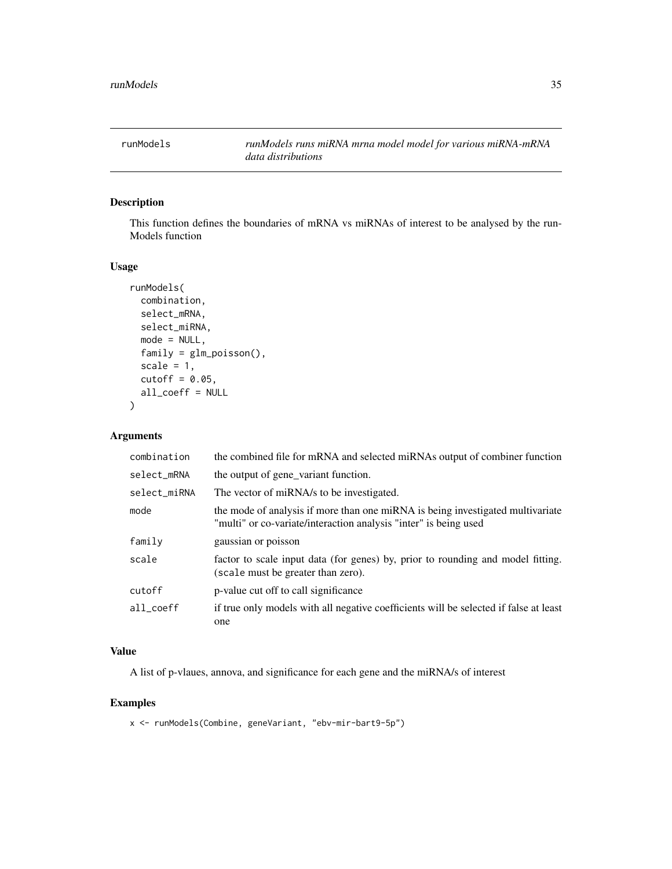<span id="page-34-0"></span>

This function defines the boundaries of mRNA vs miRNAs of interest to be analysed by the run-Models function

#### Usage

```
runModels(
  combination,
  select_mRNA,
 select_miRNA,
 mode = NULL,family = glm_poisson(),
  scale = 1,
 cutoff = 0.05,
 all_coeff = NULL
\lambda
```
#### Arguments

| combination  | the combined file for mRNA and selected miRNAs output of combiner function                                                                         |
|--------------|----------------------------------------------------------------------------------------------------------------------------------------------------|
| select_mRNA  | the output of gene_variant function.                                                                                                               |
| select_miRNA | The vector of miRNA/s to be investigated.                                                                                                          |
| mode         | the mode of analysis if more than one miRNA is being investigated multivariate<br>"multi" or co-variate/interaction analysis "inter" is being used |
| family       | gaussian or poisson                                                                                                                                |
| scale        | factor to scale input data (for genes) by, prior to rounding and model fitting.<br>(scale must be greater than zero).                              |
| cutoff       | p-value cut off to call significance                                                                                                               |
| all coeff    | if true only models with all negative coefficients will be selected if false at least<br>one                                                       |

# Value

A list of p-vlaues, annova, and significance for each gene and the miRNA/s of interest

#### Examples

x <- runModels(Combine, geneVariant, "ebv-mir-bart9-5p")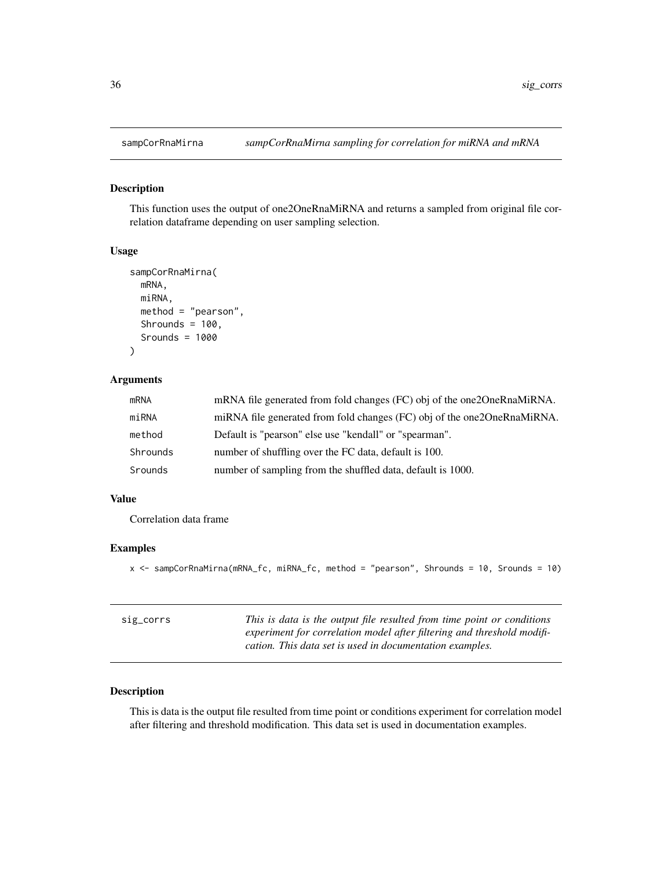<span id="page-35-0"></span>

This function uses the output of one2OneRnaMiRNA and returns a sampled from original file correlation dataframe depending on user sampling selection.

#### Usage

```
sampCorRnaMirna(
 mRNA,
 miRNA,
 method = "pearson",
  Shrounds = 100,
  Srounds = 1000
)
```
# Arguments

| mRNA     | mRNA file generated from fold changes (FC) obj of the one 20 neRnaMiRNA.  |
|----------|---------------------------------------------------------------------------|
| miRNA    | miRNA file generated from fold changes (FC) obj of the one 20 neRnaMiRNA. |
| method   | Default is "pearson" else use "kendall" or "spearman".                    |
| Shrounds | number of shuffling over the FC data, default is 100.                     |
| Srounds  | number of sampling from the shuffled data, default is 1000.               |

#### Value

Correlation data frame

# Examples

x <- sampCorRnaMirna(mRNA\_fc, miRNA\_fc, method = "pearson", Shrounds = 10, Srounds = 10)

| sig_corrs | This is data is the output file resulted from time point or conditions |
|-----------|------------------------------------------------------------------------|
|           | experiment for correlation model after filtering and threshold modifi- |
|           | cation. This data set is used in documentation examples.               |

#### Description

This is data is the output file resulted from time point or conditions experiment for correlation model after filtering and threshold modification. This data set is used in documentation examples.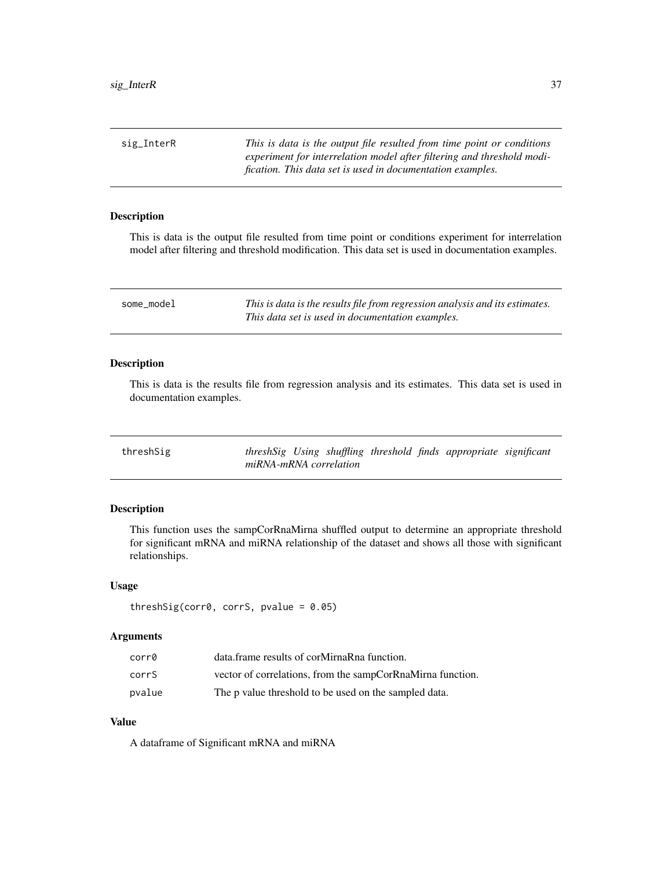<span id="page-36-0"></span>sig\_InterR *This is data is the output file resulted from time point or conditions experiment for interrelation model after filtering and threshold modification. This data set is used in documentation examples.*

# Description

This is data is the output file resulted from time point or conditions experiment for interrelation model after filtering and threshold modification. This data set is used in documentation examples.

some\_model *This is data is the results file from regression analysis and its estimates. This data set is used in documentation examples.*

#### Description

This is data is the results file from regression analysis and its estimates. This data set is used in documentation examples.

| threshSig |                        |  |  | threshSig Using shuffling threshold finds appropriate significant |  |
|-----------|------------------------|--|--|-------------------------------------------------------------------|--|
|           | miRNA-mRNA correlation |  |  |                                                                   |  |

#### Description

This function uses the sampCorRnaMirna shuffled output to determine an appropriate threshold for significant mRNA and miRNA relationship of the dataset and shows all those with significant relationships.

#### Usage

```
threshSig(corr0, corrS, pvalue = 0.05)
```
#### **Arguments**

| corr0  | data.frame results of corMirnaRna function.                |
|--------|------------------------------------------------------------|
| corrS  | vector of correlations, from the sampCorRnaMirna function. |
| pvalue | The p value threshold to be used on the sampled data.      |

#### Value

A dataframe of Significant mRNA and miRNA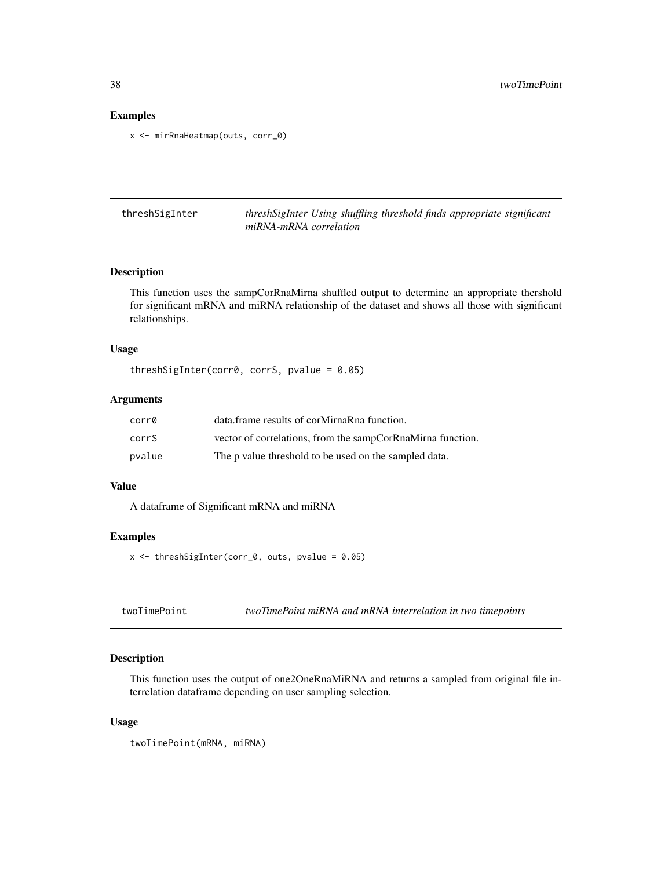#### Examples

x <- mirRnaHeatmap(outs, corr\_0)

threshSigInter *threshSigInter Using shuffling threshold finds appropriate significant miRNA-mRNA correlation*

# Description

This function uses the sampCorRnaMirna shuffled output to determine an appropriate thershold for significant mRNA and miRNA relationship of the dataset and shows all those with significant relationships.

#### Usage

threshSigInter(corr0, corrS, pvalue = 0.05)

#### Arguments

| corr0  | data.frame results of corMirnaRna function.                |
|--------|------------------------------------------------------------|
| corrS  | vector of correlations, from the sampCorRnaMirna function. |
| pvalue | The p value threshold to be used on the sampled data.      |

#### Value

A dataframe of Significant mRNA and miRNA

# Examples

 $x \le -$  threshSigInter(corr\_0, outs, pvalue = 0.05)

twoTimePoint *twoTimePoint miRNA and mRNA interrelation in two timepoints*

# Description

This function uses the output of one2OneRnaMiRNA and returns a sampled from original file interrelation dataframe depending on user sampling selection.

#### Usage

twoTimePoint(mRNA, miRNA)

<span id="page-37-0"></span>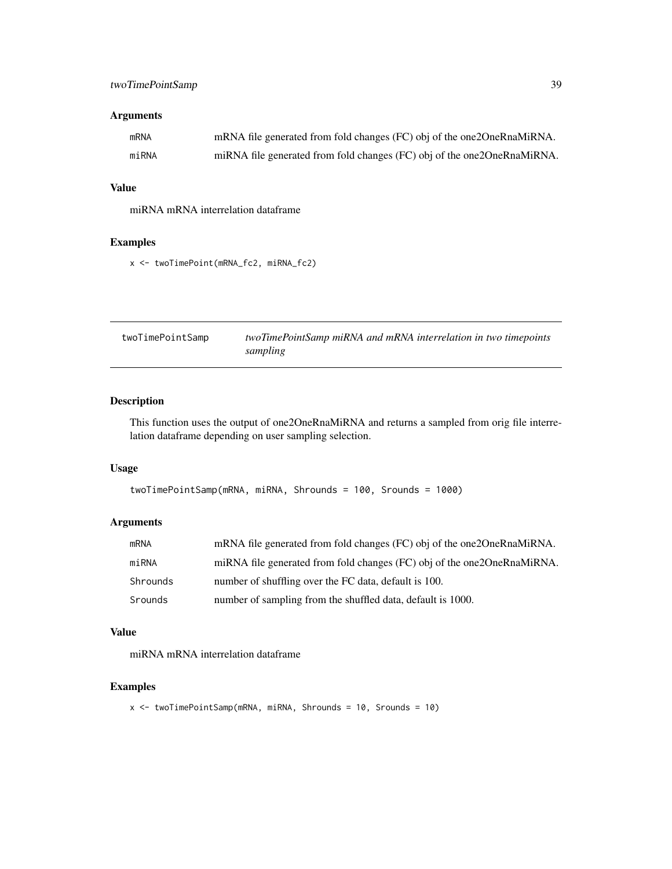# <span id="page-38-0"></span>twoTimePointSamp 39

# Arguments

| mRNA  | mRNA file generated from fold changes (FC) obj of the one2OneRnaMiRNA.    |
|-------|---------------------------------------------------------------------------|
| miRNA | miRNA file generated from fold changes (FC) obj of the one 20 neRnaMiRNA. |

#### Value

miRNA mRNA interrelation dataframe

#### Examples

x <- twoTimePoint(mRNA\_fc2, miRNA\_fc2)

| twoTimePointSamp | twoTimePointSamp miRNA and mRNA interrelation in two timepoints |
|------------------|-----------------------------------------------------------------|
|                  | sampling                                                        |

# Description

This function uses the output of one2OneRnaMiRNA and returns a sampled from orig file interrelation dataframe depending on user sampling selection.

#### Usage

```
twoTimePointSamp(mRNA, miRNA, Shrounds = 100, Srounds = 1000)
```
# Arguments

| mRNA     | mRNA file generated from fold changes (FC) obj of the one 20 neRnaMiRNA. |
|----------|--------------------------------------------------------------------------|
| miRNA    | miRNA file generated from fold changes (FC) obj of the one2OneRnaMiRNA.  |
| Shrounds | number of shuffling over the FC data, default is 100.                    |
| Srounds  | number of sampling from the shuffled data, default is 1000.              |

#### Value

miRNA mRNA interrelation dataframe

# Examples

```
x <- twoTimePointSamp(mRNA, miRNA, Shrounds = 10, Srounds = 10)
```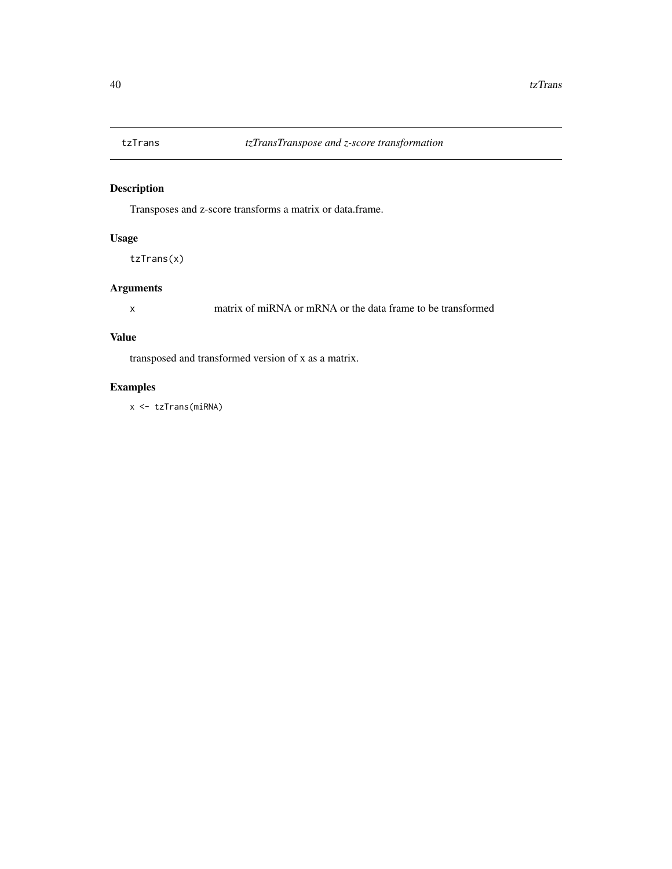<span id="page-39-0"></span>

Transposes and z-score transforms a matrix or data.frame.

# Usage

tzTrans(x)

# Arguments

x matrix of miRNA or mRNA or the data frame to be transformed

# Value

transposed and transformed version of x as a matrix.

# Examples

x <- tzTrans(miRNA)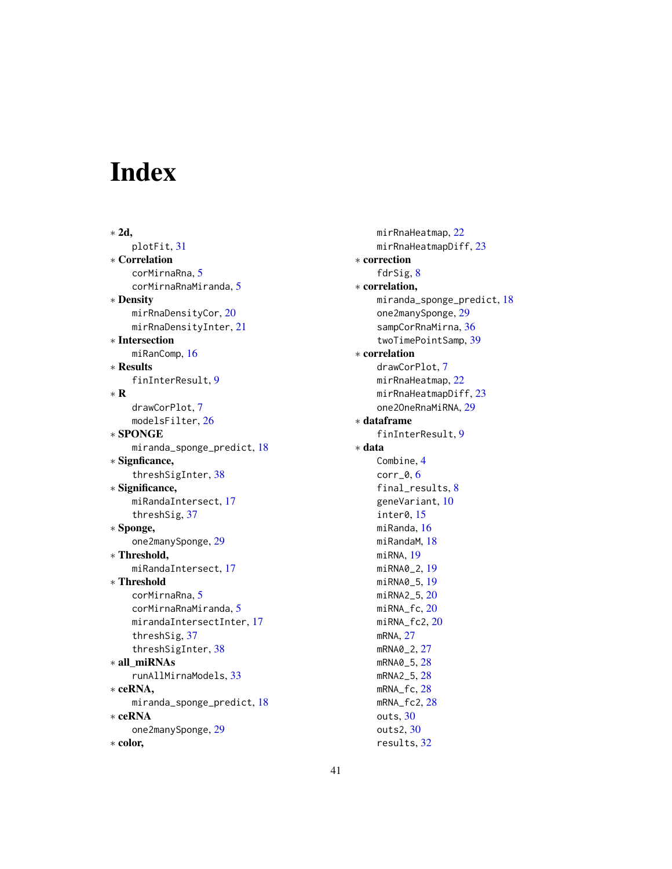# <span id="page-40-0"></span>Index

∗ 2d, plotFit, [31](#page-30-0) ∗ Correlation corMirnaRna, [5](#page-4-0) corMirnaRnaMiranda, [5](#page-4-0) ∗ Density mirRnaDensityCor, [20](#page-19-0) mirRnaDensityInter, [21](#page-20-0) ∗ Intersection miRanComp, [16](#page-15-0) ∗ Results finInterResult, [9](#page-8-0) ∗ R drawCorPlot, [7](#page-6-0) modelsFilter, [26](#page-25-0) ∗ SPONGE miranda\_sponge\_predict, [18](#page-17-0) ∗ Signficance, threshSigInter, [38](#page-37-0) ∗ Significance, miRandaIntersect, [17](#page-16-0) threshSig, [37](#page-36-0) ∗ Sponge, one2manySponge, [29](#page-28-0) ∗ Threshold, miRandaIntersect, [17](#page-16-0) ∗ Threshold corMirnaRna, [5](#page-4-0) corMirnaRnaMiranda, [5](#page-4-0) mirandaIntersectInter, [17](#page-16-0) threshSig, [37](#page-36-0) threshSigInter, [38](#page-37-0) ∗ all\_miRNAs runAllMirnaModels, [33](#page-32-0) ∗ ceRNA, miranda\_sponge\_predict, [18](#page-17-0) ∗ ceRNA one2manySponge, [29](#page-28-0) ∗ color,

mirRnaHeatmap, [22](#page-21-0) mirRnaHeatmapDiff, [23](#page-22-0) ∗ correction fdrSig, [8](#page-7-0) ∗ correlation, miranda\_sponge\_predict, [18](#page-17-0) one2manySponge, [29](#page-28-0) sampCorRnaMirna, [36](#page-35-0) twoTimePointSamp, [39](#page-38-0) ∗ correlation drawCorPlot, [7](#page-6-0) mirRnaHeatmap, [22](#page-21-0) mirRnaHeatmapDiff, [23](#page-22-0) one2OneRnaMiRNA, [29](#page-28-0) ∗ dataframe finInterResult, [9](#page-8-0) ∗ data Combine, [4](#page-3-0) corr\_0, [6](#page-5-0) final\_results, [8](#page-7-0) geneVariant, [10](#page-9-0) inter0, [15](#page-14-0) miRanda, [16](#page-15-0) miRandaM, [18](#page-17-0) miRNA, [19](#page-18-0) miRNA0\_2, [19](#page-18-0) miRNA0\_5, [19](#page-18-0) miRNA2\_5, [20](#page-19-0) miRNA\_fc, [20](#page-19-0) miRNA\_fc2, [20](#page-19-0) mRNA, [27](#page-26-0) mRNA0\_2, [27](#page-26-0) mRNA0\_5, [28](#page-27-0) mRNA2\_5, [28](#page-27-0) mRNA\_fc, [28](#page-27-0) mRNA\_fc2, [28](#page-27-0) outs, [30](#page-29-0) outs2, [30](#page-29-0) results, [32](#page-31-0)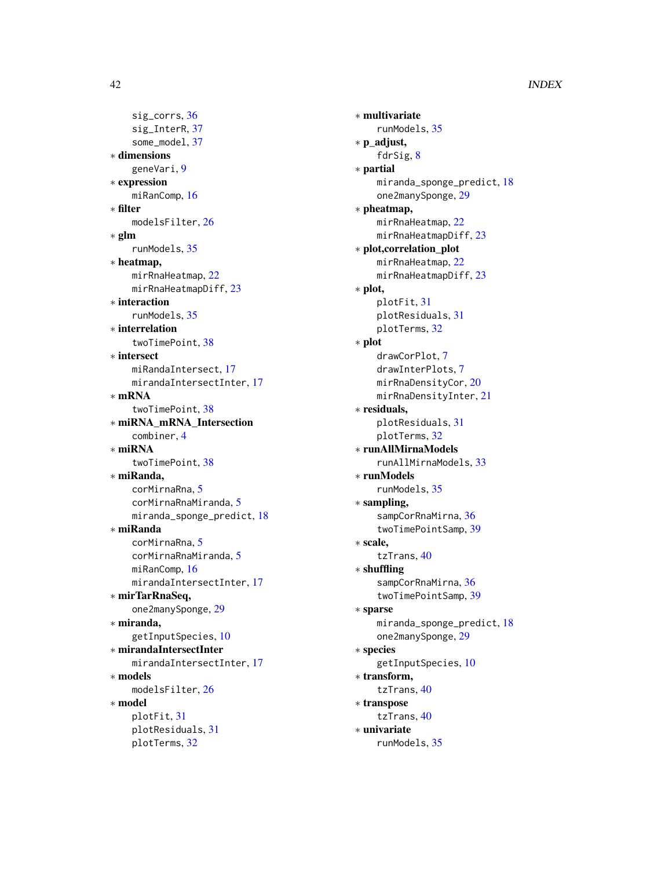sig\_corrs, [36](#page-35-0) sig\_InterR, [37](#page-36-0) some\_model, [37](#page-36-0) ∗ dimensions geneVari, [9](#page-8-0) ∗ expression miRanComp, [16](#page-15-0) ∗ filter modelsFilter, [26](#page-25-0) ∗ glm runModels, [35](#page-34-0) ∗ heatmap, mirRnaHeatmap, [22](#page-21-0) mirRnaHeatmapDiff, [23](#page-22-0) ∗ interaction runModels, [35](#page-34-0) ∗ interrelation twoTimePoint, [38](#page-37-0) ∗ intersect miRandaIntersect, [17](#page-16-0) mirandaIntersectInter, [17](#page-16-0) ∗ mRNA twoTimePoint, [38](#page-37-0) ∗ miRNA\_mRNA\_Intersection combiner, [4](#page-3-0) ∗ miRNA twoTimePoint, [38](#page-37-0) ∗ miRanda, corMirnaRna, [5](#page-4-0) corMirnaRnaMiranda, [5](#page-4-0) miranda\_sponge\_predict, [18](#page-17-0) ∗ miRanda corMirnaRna, [5](#page-4-0) corMirnaRnaMiranda, [5](#page-4-0) miRanComp, [16](#page-15-0) mirandaIntersectInter, [17](#page-16-0) ∗ mirTarRnaSeq, one2manySponge, [29](#page-28-0) ∗ miranda, getInputSpecies, [10](#page-9-0) ∗ mirandaIntersectInter mirandaIntersectInter, [17](#page-16-0) ∗ models modelsFilter, [26](#page-25-0) ∗ model plotFit, [31](#page-30-0) plotResiduals, [31](#page-30-0) plotTerms, [32](#page-31-0)

∗ multivariate runModels, [35](#page-34-0) ∗ p\_adjust, fdrSig, [8](#page-7-0) ∗ partial miranda\_sponge\_predict, [18](#page-17-0) one2manySponge, [29](#page-28-0) ∗ pheatmap, mirRnaHeatmap, [22](#page-21-0) mirRnaHeatmapDiff, [23](#page-22-0) ∗ plot,correlation\_plot mirRnaHeatmap, [22](#page-21-0) mirRnaHeatmapDiff, [23](#page-22-0) ∗ plot, plotFit, [31](#page-30-0) plotResiduals, [31](#page-30-0) plotTerms, [32](#page-31-0) ∗ plot drawCorPlot, [7](#page-6-0) drawInterPlots, [7](#page-6-0) mirRnaDensityCor, [20](#page-19-0) mirRnaDensityInter, [21](#page-20-0) ∗ residuals, plotResiduals, [31](#page-30-0) plotTerms, [32](#page-31-0) ∗ runAllMirnaModels runAllMirnaModels, [33](#page-32-0) ∗ runModels runModels, [35](#page-34-0) ∗ sampling, sampCorRnaMirna, [36](#page-35-0) twoTimePointSamp, [39](#page-38-0) ∗ scale, tzTrans, [40](#page-39-0) ∗ shuffling sampCorRnaMirna, [36](#page-35-0) twoTimePointSamp, [39](#page-38-0) ∗ sparse miranda\_sponge\_predict, [18](#page-17-0) one2manySponge, [29](#page-28-0) ∗ species getInputSpecies, [10](#page-9-0) ∗ transform, tzTrans, [40](#page-39-0) ∗ transpose tzTrans, [40](#page-39-0) ∗ univariate runModels, [35](#page-34-0)